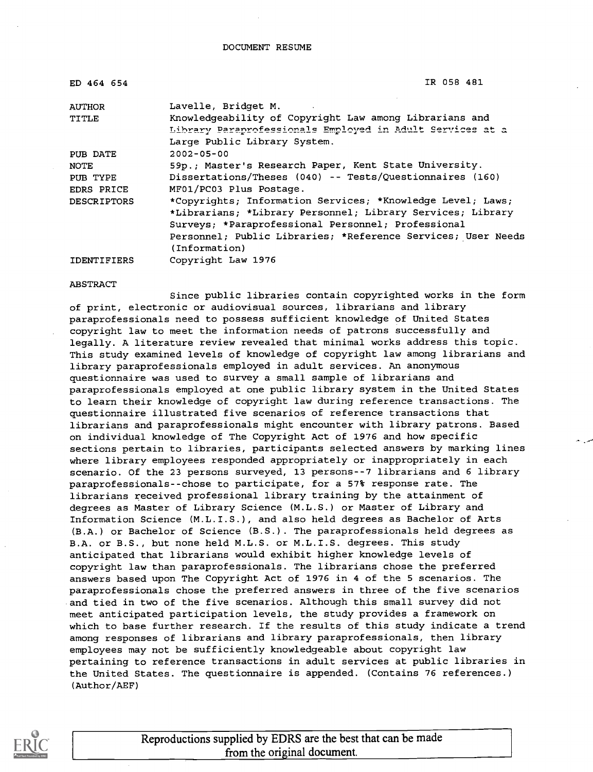| ED 464 654         | IR 058 481                                                   |
|--------------------|--------------------------------------------------------------|
| <b>AUTHOR</b>      | Lavelle, Bridget M.                                          |
| TITLE              | Knowledgeability of Copyright Law among Librarians and       |
|                    | Library Paraprofessionals Employed in Adult Services at a    |
|                    | Large Public Library System.                                 |
| PUB DATE           | $2002 - 05 - 00$                                             |
| NOTE               | 59p.; Master's Research Paper, Kent State University.        |
| PUB TYPE           | Dissertations/Theses $(040)$ -- Tests/Questionnaires $(160)$ |
| EDRS PRICE         | MF01/PC03 Plus Postage.                                      |
| <b>DESCRIPTORS</b> | *Copyrights; Information Services; *Knowledge Level; Laws;   |
|                    | *Librarians; *Library Personnel; Library Services; Library   |
|                    | Surveys; *Paraprofessional Personnel; Professional           |
|                    | Personnel; Public Libraries; *Reference Services; User Needs |
|                    | (Information)                                                |
| <b>IDENTIFIERS</b> | Copyright Law 1976                                           |

#### **ABSTRACT**

Since public libraries contain copyrighted works in the form of print, electronic or audiovisual sources, librarians and library paraprofessionals need to possess sufficient knowledge of United States copyright law to meet the information needs of patrons successfully and legally. A literature review revealed that minimal works address this topic. This study examined levels of knowledge of copyright law among librarians and library paraprofessionals employed in adult services. An anonymous questionnaire was used to survey a small sample of librarians and paraprofessionals employed at one public library system in the United States to learn their knowledge of copyright law during reference transactions. The questionnaire illustrated five scenarios of reference transactions that librarians and paraprofessionals might encounter with library patrons. Based on individual knowledge of The Copyright Act of 1976 and how specific sections pertain to libraries, participants selected answers by marking lines where library employees responded appropriately or inappropriately in each scenario. Of the 23 persons surveyed, 13 persons--7 librarians and 6 library paraprofessionals--chose to participate, for a 57% response rate. The librarians received professional library training by the attainment of degrees as Master of Library Science (M.L.S.) or Master of Library and Information Science (M.L.I.S.), and also held degrees as Bachelor of Arts (B.A.) or Bachelor of Science (B.S.) . The paraprofessionals held degrees as B.A. or B.S., but none held M.L.S. or M.L.I.S. degrees. This study anticipated that librarians would exhibit higher knowledge levels of copyright law than paraprofessionals. The librarians chose the preferred answers based upon The Copyright Act of 1976 in 4 of the 5 scenarios. The paraprofessionals chose the preferred answers in three of the five scenarios and tied in two of the five scenarios. Although this small survey did not meet anticipated participation levels, the study provides a framework on which to base further research. If the results of this study indicate a trend among responses of librarians and library paraprofessionals, then library employees may not be sufficiently knowledgeable about copyright law pertaining to reference transactions in adult services at public libraries in the United States. The questionnaire is appended. (Contains 76 references.) (Author/AEF)



Reproductions supplied by EDRS are the best that can be made from the original document.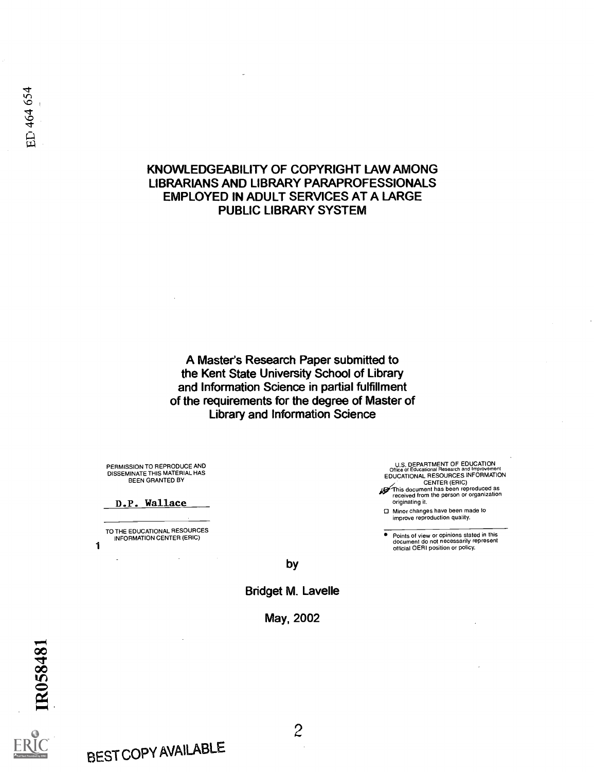## KNOWLEDGEABILITY OF COPYRIGHT LAW AMONG LIBRARIANS AND LIBRARY PARAPROFESSIONALS EMPLOYED IN ADULT SERVICES AT A LARGE PUBLIC LIBRARY SYSTEM

A Master's Research Paper submitted to the Kent State University School of Library and Information Science in partial fulfillment of the requirements for the degree of Master of Library and Information Science

PERMISSION TO REPRODUCE AND DISSEMINATE THIS MATERIAL HAS BEEN GRANTED BY

#### D.P. Wallace

TO THE EDUCATIONAL RESOURCES INFORMATION CENTER (ERIC)

1

U.S. DEPARTMENT OF EDUCATION Office of Educational Research and Improvement EDUCATIONAL RESOURCES INFORMATION

CENTER (ERIC)<br> *F* This document has been reproduced as<br>
received from the person or organization originating it.

CI Minor changes have been made to improve reproduction quality.

Points of view or opinions stated in this document do not necessarily represent official OERI position or policy.

by

Bridget M. Lavelle

May, 2002





BEST COPY AVAILABLE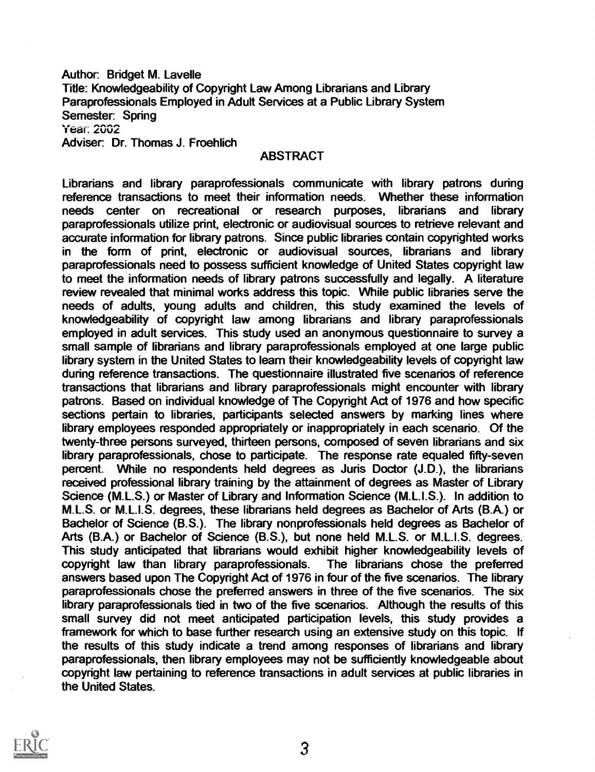Author: Bridget M. Lavelle Title: Knowledgeability of Copyright Law Among Librarians and Library Paraprofessionals Employed in Adult Services at a Public Library System Semester: Spring **Year: 2002** Adviser: Dr. Thomas J. Froehlich

### ABSTRACT

Librarians and library paraprofessionals communicate with library patrons during reference transactions to meet their information needs. Whether these information needs center on recreational or research purposes, librarians and library paraprofessionals utilize print, electronic or audiovisual sources to retrieve relevant and accurate information for library patrons. Since public libraries contain copyrighted works in the form of print, electronic or audiovisual sources, librarians and library paraprofessionals need to possess sufficient knowledge of United States copyright law to meet the information needs of library patrons successfully and legally. A literature review revealed that minimal works address this topic. While public libraries serve the needs of adults, young adults and children, this study examined the levels of knowledgeability of copyright law among librarians and library paraprofessionals employed in adult services. This study used an anonymous questionnaire to survey a small sample of librarians and library paraprofessionals employed at one large public library system in the United States to learn their knowledgeability levels of copyright law during reference transactions. The questionnaire illustrated five scenarios of reference transactions that librarians and library paraprofessionals might encounter with library patrons. Based on individual knowledge of The Copyright Act of 1976 and how specific sections pertain to libraries, participants selected answers by marking lines where library employees responded appropriately or inappropriately in each scenario. Of the twenty-three persons surveyed, thirteen persons, composed of seven librarians and six library paraprofessionals, chose to participate. The response rate equaled fifty-seven percent. While no respondents held degrees as Juris Doctor (J.D.), the librarians received professional library training by the attainment of degrees as Master of Library Science (M.L.S.) or Master of Library and Information Science (M.L.I.S.). In addition to M.L.S. or M.L.I.S. degrees, these librarians held degrees as Bachelor of Arts (B.A.) or Bachelor of Science (B.S.). The library nonprofessionals held degrees as Bachelor of Arts (B.A.) or Bachelor of Science (B.S.), but none held M.L.S. or M.L.I.S. degrees. This study anticipated that librarians would exhibit higher knowledgeability levels of copyright law than library paraprofessionals. The librarians chose the preferred answers based upon The Copyright Act of 1976 in four of the five scenarios. The library paraprofessionals chose the preferred answers in three of the five scenarios. The six library paraprofessionals tied in two of the five scenarios. Although the results of this small survey did not meet anticipated participation levels, this study provides a framework for which to base further research using an extensive study on this topic. If the results of this study indicate a trend among responses of librarians and library paraprofessionals, then library employees may not be sufficiently knowledgeable about copyright law pertaining to reference transactions in adult services at public libraries in the United States.

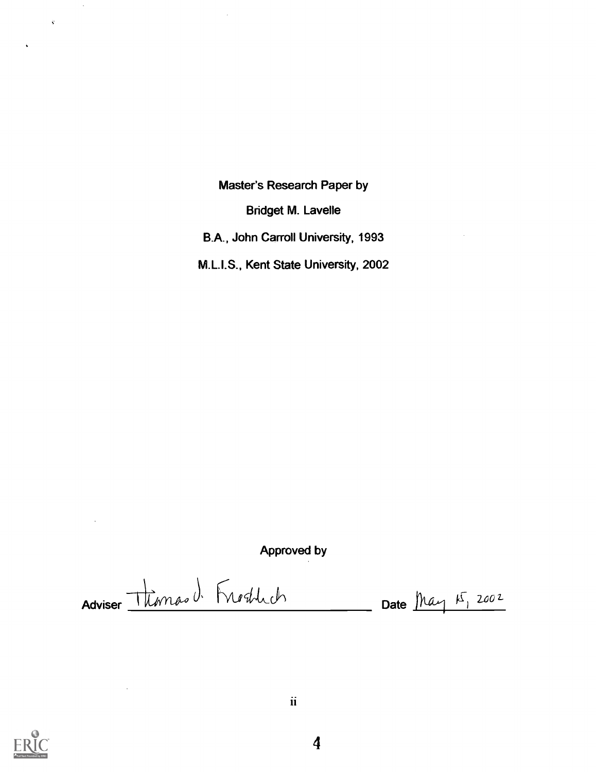Master's Research Paper by

Bridget M. Lavelle

B.A., John Carroll University, 1993

M.L.I.S., Kent State University, 2002

Approved by

Adviser Thomas d. Froghlich Date May 15, 2002



 $\hat{\mathcal{A}}$ 

 $\hat{\mathbf{y}}$ 

 $\ddot{\phantom{0}}$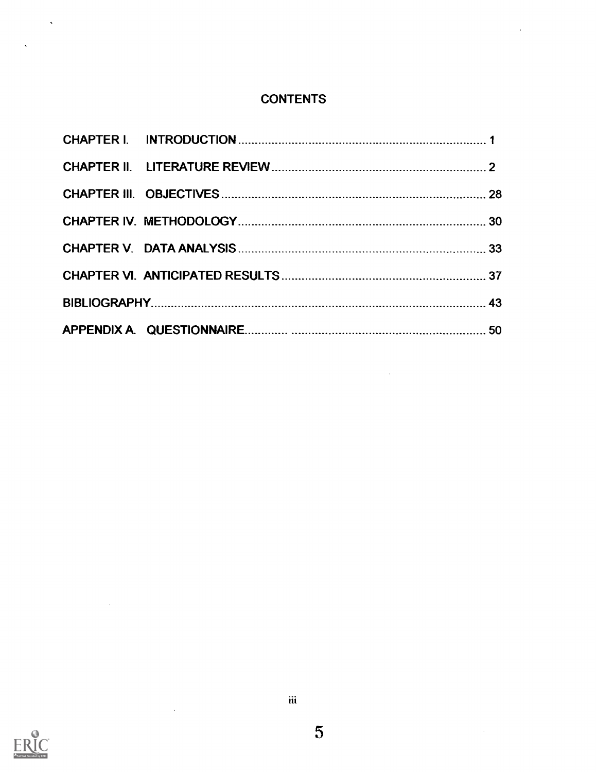## **CONTENTS**

 $\ddot{\phantom{a}}$ 

 $\ddot{\phantom{a}}$ 

 $\hat{\mathcal{A}}$ 



 $\sim$ 

 $\mathcal{A}^{\mathcal{A}}$ 

 $\hat{\mathbf{v}}$ 

 $\hat{\mathbf{v}}$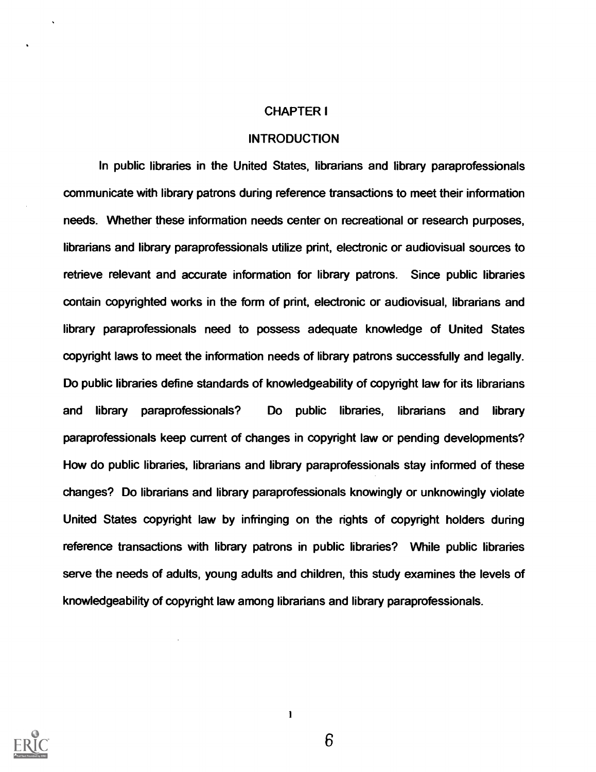#### CHAPTER I

#### **INTRODUCTION**

In public libraries in the United States, librarians and library paraprofessionals communicate with library patrons during reference transactions to meet their information needs. Whether these information needs center on recreational or research purposes, librarians and library paraprofessionals utilize print, electronic or audiovisual sources to retrieve relevant and accurate information for library patrons. Since public libraries contain copyrighted works in the form of print, electronic or audiovisual, librarians and library paraprofessionals need to possess adequate knowledge of United States copyright laws to meet the information needs of library patrons successfully and legally. Do public libraries define standards of knowledgeability of copyright law for its librarians and library paraprofessionals? Do public libraries, librarians and library paraprofessionals keep current of changes in copyright law or pending developments? How do public libraries, librarians and library paraprofessionals stay informed of these changes? Do librarians and library paraprofessionals knowingly or unknowingly violate United States copyright law by infringing on the rights of copyright holders during reference transactions with library patrons in public libraries? While public libraries serve the needs of adults, young adults and children, this study examines the levels of knowledgeability of copyright law among librarians and library paraprofessionals.



6

 $\mathbf{I}$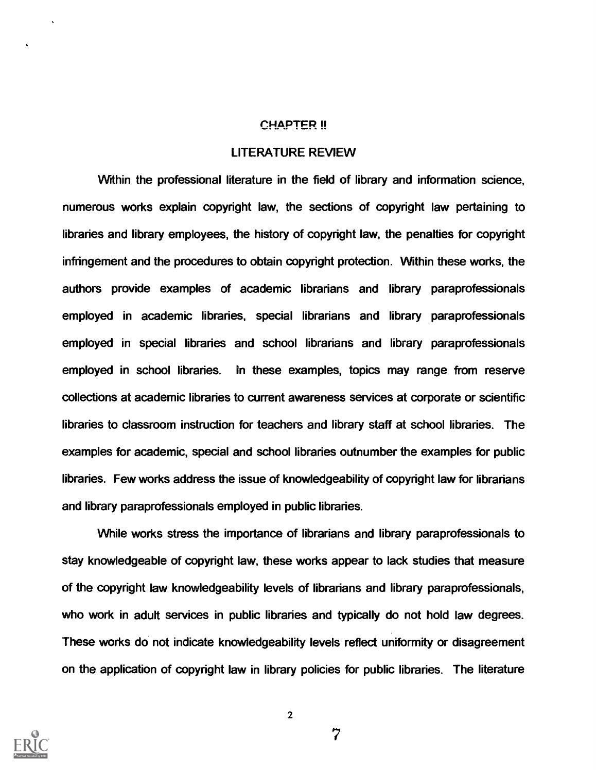#### CHAPTER !!

#### LITERATURE REVIEW

Within the professional literature in the field of library and information science, numerous works explain copyright law, the sections of copyright law pertaining to libraries and library employees, the history of copyright law, the penalties for copyright infringement and the procedures to obtain copyright protection. Within these works, the authors provide examples of academic librarians and library paraprofessionals employed in academic libraries, special librarians and library paraprofessionals employed in special libraries and school librarians and library paraprofessionals employed in school libraries. In these examples, topics may range from reserve collections at academic libraries to current awareness services at corporate or scientific libraries to classroom instruction for teachers and library staff at school libraries. The examples for academic, special and school libraries outnumber the examples for public libraries. Few works address the issue of knowledgeability of copyright law for librarians and library paraprofessionals employed in public libraries.

While works stress the importance of librarians and library paraprofessionals to stay knowledgeable of copyright law, these works appear to lack studies that measure of the copyright law knowledgeability levels of librarians and library paraprofessionals, who work in adult services in public libraries and typically do not hold law degrees. These works do not indicate knowledgeability levels reflect uniformity or disagreement on the application of copyright law in library policies for public libraries. The literature



7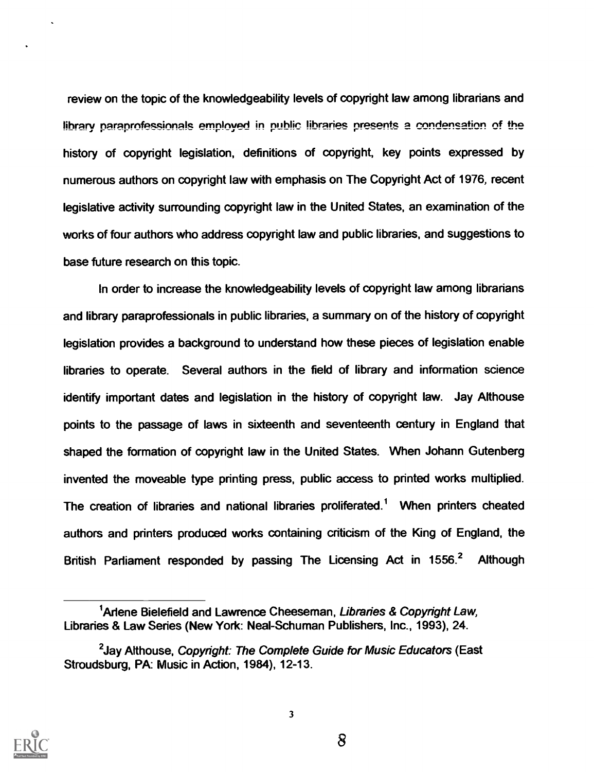review on the topic of the knowledgeability levels of copyright law among librarians and library paraprofessionals employed in public libraries presents a condensation of the history of copyright legislation, definitions of copyright, key points expressed by numerous authors on copyright law with emphasis on The Copyright Act of 1976, recent legislative activity surrounding copyright law in the United States, an examination of the works of four authors who address copyright law and public libraries, and suggestions to base future research on this topic.

In order to increase the knowledgeability levels of copyright law among librarians and library paraprofessionals in public libraries, a summary on of the history of copyright legislation provides a background to understand how these pieces of legislation enable libraries to operate. Several authors in the field of library and information science identify important dates and legislation in the history of copyright law. Jay Althouse points to the passage of laws in sixteenth and seventeenth century in England that shaped the formation of copyright law in the United States. When Johann Gutenberg invented the moveable type printing press, public access to printed works multiplied. The creation of libraries and national libraries proliferated.' When printers cheated authors and printers produced works containing criticism of the King of England, the British Parliament responded by passing The Licensing Act in 1556.<sup>2</sup> Although



<sup>&</sup>lt;sup>1</sup> Arlene Bielefield and Lawrence Cheeseman, Libraries & Copyright Law, Libraries & Law Series (New York: Neal-Schuman Publishers, Inc., 1993), 24.

<sup>&</sup>lt;sup>2</sup> Jay Althouse, *Copyright: The Complete Guide for Music Educators* (East Stroudsburg, PA: Music in Action, 1984), 12-13.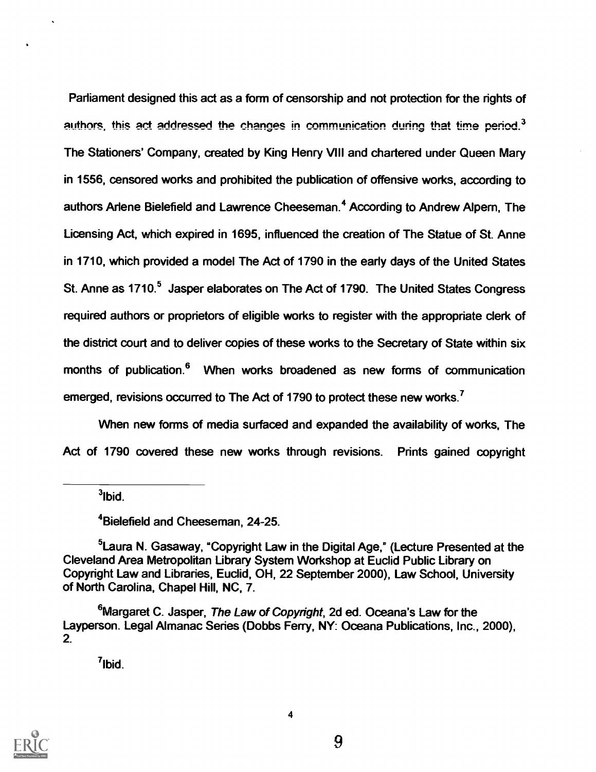Parliament designed this act as a form of censorship and not protection for the rights of authors, this act addressed the changes in communication during that time period.<sup>3</sup> The Stationers' Company, created by King Henry VIII and chartered under Queen Mary in 1556, censored works and prohibited the publication of offensive works, according to authors Arlene Bielefield and Lawrence Cheeseman.<sup>4</sup> According to Andrew Alpern, The Licensing Act, which expired in 1695, influenced the creation of The Statue of St. Anne in 1710, which provided a model The Act of 1790 in the early days of the United States St. Anne as 1710.<sup>5</sup> Jasper elaborates on The Act of 1790. The United States Congress required authors or proprietors of eligible works to register with the appropriate clerk of the district court and to deliver copies of these works to the Secretary of State within six months of publication.<sup>6</sup> When works broadened as new forms of communication emerged, revisions occurred to The Act of 1790 to protect these new works.<sup>7</sup>

When new forms of media surfaced and expanded the availability of works, The Act of 1790 covered these new works through revisions. Prints gained copyright

 $3$ Ibid.

4Bielefield and Cheeseman, 24-25.

<sup>5</sup> Laura N. Gasaway, "Copyright Law in the Digital Age," (Lecture Presented at the Cleveland Area Metropolitan Library System Workshop at Euclid Public Library on Copyright Law and Libraries, Euclid, OH, 22 September 2000), Law School, University of North Carolina, Chapel Hill, NC, 7.

<sup>6</sup>Margaret C. Jasper, The Law of Copyright, 2d ed. Oceana's Law for the Layperson. Legal Almanac Series (Dobbs Ferry, NY: Oceana Publications, Inc., 2000), 2.

4

"Ibid.

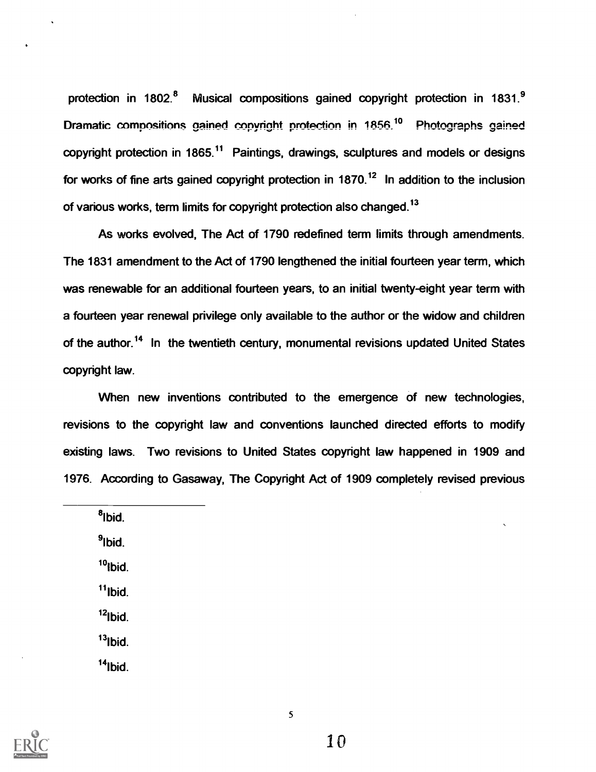protection in 1802.<sup>8</sup> Musical compositions gained copyright protection in 1831.<sup>9</sup> Dramatic compositions gained copyright protection in 1856.<sup>10</sup> Photographs gained copyright protection in 1865.<sup>11</sup> Paintings, drawings, sculptures and models or designs for works of fine arts gained copyright protection in 1870.<sup>12</sup> In addition to the inclusion of various works, term limits for copyright protection also changed.13

As works evolved, The Act of 1790 redefined term limits through amendments. The 1831 amendment to the Act of 1790 lengthened the initial fourteen year term, which was renewable for an additional fourteen years, to an initial twenty-eight year term with a fourteen year renewal privilege only available to the author or the widow and children of the author.<sup>14</sup> In the twentieth century, monumental revisions updated United States copyright law.

When new inventions contributed to the emergence of new technologies, revisions to the copyright law and conventions launched directed efforts to modify existing laws. Two revisions to United States copyright law happened in 1909 and 1976. According to Gasaway, The Copyright Act of 1909 completely revised previous

8Ibid.

9Ibid.

 $10$ <sub>Ibid.</sub>

 $11$ Ibid.

 $12$ Ibid.

 $13$ Ibid.

 $14$ Ibid.

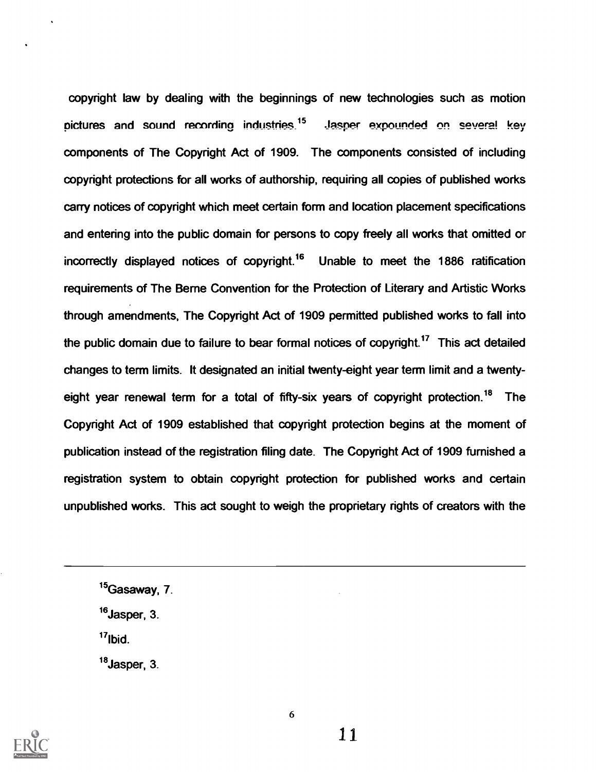copyright law by dealing with the beginnings of new technologies such as motion pictures and sound recording industries.<sup>15</sup> Jasper expounded on several key components of The Copyright Act of 1909. The components consisted of including copyright protections for all works of authorship, requiring all copies of published works carry notices of copyright which meet certain form and location placement specifications and entering into the public domain for persons to copy freely all works that omitted or incorrectly displayed notices of copyright.<sup>16</sup> Unable to meet the 1886 ratification requirements of The Berne Convention for the Protection of Literary and Artistic Works through amendments, The Copyright Act of 1909 permitted published works to fall into the public domain due to failure to bear formal notices of copyright.<sup>17</sup> This act detailed changes to term limits. It designated an initial twenty-eight year term limit and a twentyeight year renewal term for a total of fifty-six years of copyright protection.<sup>18</sup> The Copyright Act of 1909 established that copyright protection begins at the moment of publication instead of the registration filing date. The Copyright Act of 1909 furnished a registration system to obtain copyright protection for published works and certain unpublished works. This act sought to weigh the proprietary rights of creators with the

 $17$ Ibid.

<sup>18</sup> Jasper, 3.



6

 $15$ Gasaway, 7.

<sup>&</sup>lt;sup>16</sup> Jasper, 3.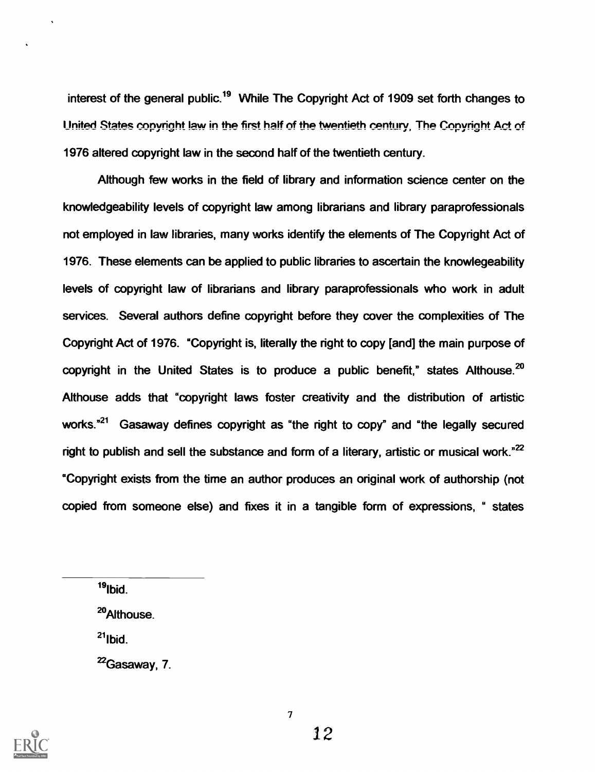interest of the general public.<sup>19</sup> While The Copyright Act of 1909 set forth changes to United States copyright law in the first half of the twentieth century. The Copyright Act of 1976 altered copyright law in the second half of the twentieth century.

Although few works in the field of library and information science center on the knowledgeability levels of copyright law among librarians and library paraprofessionals not employed in law libraries, many works identify the elements of The Copyright Act of 1976. These elements can be applied to public libraries to ascertain the knowlegeability levels of copyright law of librarians and library paraprofessionals who work in adult services. Several authors define copyright before they cover the complexities of The Copyright Act of 1976. °Copyright is, literally the right to copy [and] the main purpose of copyright in the United States is to produce a public benefit." states Althouse.<sup>20</sup> Althouse adds that "copyright laws foster creativity and the distribution of artistic works."<sup>21</sup> Gasaway defines copyright as "the right to copy" and "the legally secured right to publish and sell the substance and form of a literary, artistic or musical work."<sup>22</sup> °Copyright exists from the time an author produces an original work of authorship (not copied from someone else) and fixes it in a tangible form of expressions, " states

 $19$ lbid.

29Althouse.

 $21$ Ibid.

 $^{22}$ Gasaway, 7.

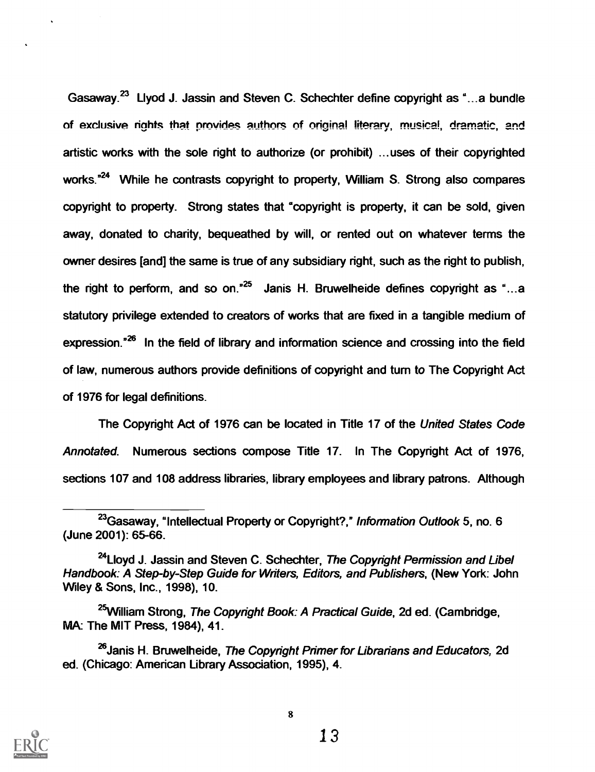Gasaway.23 Llyod J. Jassin and Steven C. Schechter define copyright as "...a bundle of exclusive rights that provides authors of original literary, musical, dramatic, and artistic works with the sole right to authorize (or prohibit) ...uses of their copyrighted works."<sup>24</sup> While he contrasts copyright to property, William S. Strong also compares copyright to property. Strong states that "copyright is property, it can be sold, given away, donated to charity, bequeathed by will, or rented out on whatever terms the owner desires [and] the same is true of any subsidiary right, such as the right to publish, the right to perform, and so on.<sup>25</sup> Janis H. Bruwelheide defines copyright as "...a statutory privilege extended to creators of works that are fixed in a tangible medium of expression.<sup>"26</sup> In the field of library and information science and crossing into the field of law, numerous authors provide definitions of copyright and turn to The Copyright Act of 1976 for legal definitions.

The Copyright Act of 1976 can be located in Title 17 of the United States Code Annotated. Numerous sections compose Title 17. In The Copyright Act of 1976, sections 107 and 108 address libraries, library employees and library patrons. Although



<sup>&</sup>lt;sup>23</sup>Gasaway, "Intellectual Property or Copyright?," Information Outlook 5, no. 6 (June 2001): 65-66.

<sup>&</sup>lt;sup>24</sup> Lloyd J. Jassin and Steven C. Schechter, The Copyright Permission and Libel Handbook: A Step-by-Step Guide for Writers, Editors, and Publishers, (New York: John Wiley & Sons, Inc., 1998), 10.

<sup>&</sup>lt;sup>25</sup>William Strong, The Copyright Book: A Practical Guide, 2d ed. (Cambridge, MA: The MIT Press, 1984), 41.

<sup>&</sup>lt;sup>26</sup> Janis H. Bruwelheide, The Copyright Primer for Librarians and Educators, 2d ed. (Chicago: American Library Association, 1995), 4.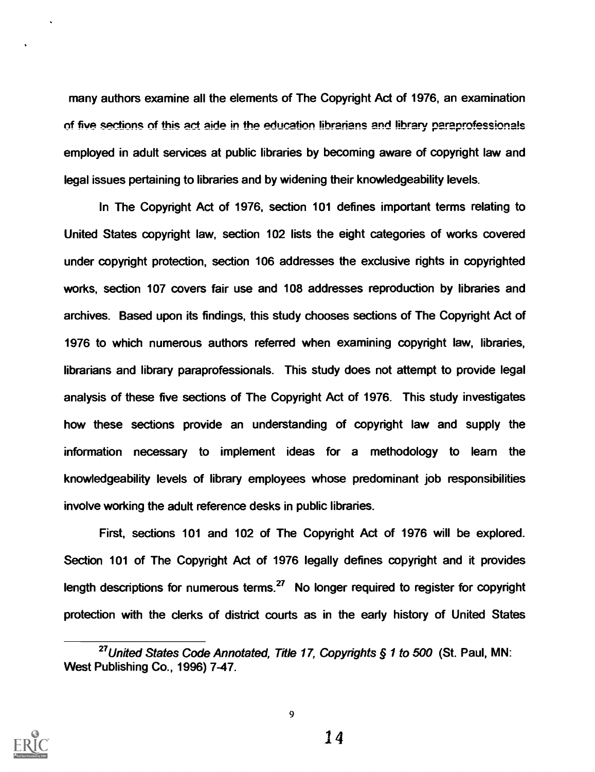many authors examine all the elements of The Copyright Act of 1976, an examination of five sections of this act aide in the education librarians and library paraprofessionals employed in adult services at public libraries by becoming aware of copyright law and legal issues pertaining to libraries and by widening their knowledgeability levels.

In The Copyright Act of 1976, section 101 defines important terms relating to United States copyright law, section 102 lists the eight categories of works covered under copyright protection, section 106 addresses the exclusive rights in copyrighted works, section 107 covers fair use and 108 addresses reproduction by libraries and archives. Based upon its findings, this study chooses sections of The Copyright Act of 1976 to which numerous authors referred when examining copyright law, libraries, librarians and library paraprofessionals. This study does not attempt to provide legal analysis of these five sections of The Copyright Act of 1976. This study investigates how these sections provide an understanding of copyright law and supply the information necessary to implement ideas for a methodology to learn the knowledgeability levels of library employees whose predominant job responsibilities involve working the adult reference desks in public libraries.

First, sections 101 and 102 of The Copyright Act of 1976 will be explored. Section 101 of The Copyright Act of 1976 legally defines copyright and it provides length descriptions for numerous terms.<sup>27</sup> No longer required to register for copyright protection with the clerks of district courts as in the early history of United States



<sup>&</sup>lt;sup>27</sup> United States Code Annotated, Title 17, Copyrights § 1 to 500 (St. Paul, MN: West Publishing Co., 1996) 7-47.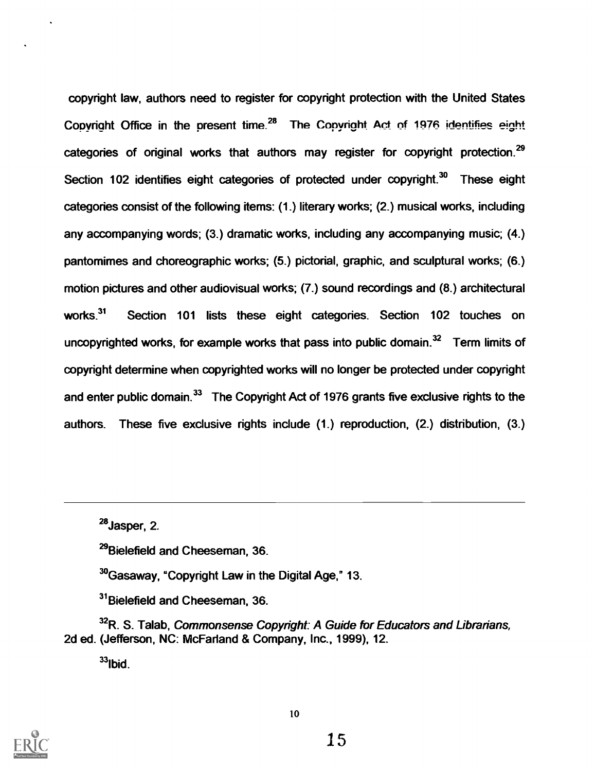copyright law, authors need to register for copyright protection with the United States Copyright Office in the present time.<sup>28</sup> The Copyright Act of 1976 identifies eight categories of original works that authors may register for copyright protection.<sup>29</sup> Section 102 identifies eight categories of protected under copyright.<sup>30</sup> These eight categories consist of the following items: (1.) literary works; (2.) musical works, including any accompanying words; (3.) dramatic works, including any accompanying music; (4.) pantomimes and choreographic works; (5.) pictorial, graphic, and sculptural works; (6.) motion pictures and other audiovisual works; (7.) sound recordings and (8.) architectural works.<sup>31</sup> Section 101 lists these eight categories. Section 102 touches on uncopyrighted works, for example works that pass into public domain. $32$  Term limits of copyright determine when copyrighted works will no longer be protected under copyright and enter public domain.<sup>33</sup> The Copyright Act of 1976 grants five exclusive rights to the authors. These five exclusive rights include (1.) reproduction, (2.) distribution, (3.)

<sup>29</sup>Bielefield and Cheeseman, 36.

<sup>30</sup>Gasaway, "Copyright Law in the Digital Age," 13.

<sup>31</sup>Bielefield and Cheeseman, 36.

<sup>32</sup>R. S. Talab, Commonsense Copyright: A Guide for Educators and Librarians, 2d ed. (Jefferson, NC: McFarland & Company, Inc., 1999), 12.

 $33$ Ibid.



<sup>28</sup>Jasper, 2.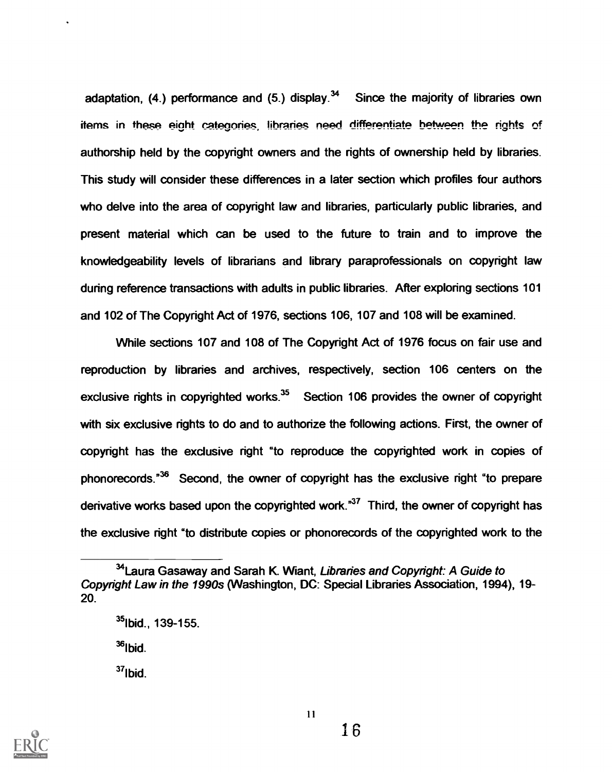adaptation, (4.) performance and (5.) display.<sup>34</sup> Since the majority of libraries own items in these eight categories, libraries need differentiate between the rights of authorship held by the copyright owners and the rights of ownership held by libraries. This study will consider these differences in a later section which profiles four authors who delve into the area of copyright law and libraries, particularly public libraries, and present material which can be used to the future to train and to improve the knowledgeability levels of librarians and library paraprofessionals on copyright law during reference transactions with adults in public libraries. After exploring sections 101 and 102 of The Copyright Act of 1976, sections 106, 107 and 108 will be examined.

While sections 107 and 108 of The Copyright Act of 1976 focus on fair use and reproduction by libraries and archives, respectively, section 106 centers on the exclusive rights in copyrighted works. $35$  Section 106 provides the owner of copyright with six exclusive rights to do and to authorize the following actions. First, the owner of copyright has the exclusive right "to reproduce the copyrighted work in copies of phonorecords."36 Second, the owner of copyright has the exclusive right "to prepare derivative works based upon the copyrighted work. $37$  Third, the owner of copyright has the exclusive right "to distribute copies or phonorecords of the copyrighted work to the

 $36$ Ibid.

 $37$ lbid



<sup>&</sup>lt;sup>34</sup>Laura Gasaway and Sarah K. Wiant, Libraries and Copyright: A Guide to Copyright Law in the 1990s (Washington, DC: Special Libraries Association, 1994), 19- 20.

 $35$ lbid., 139-155.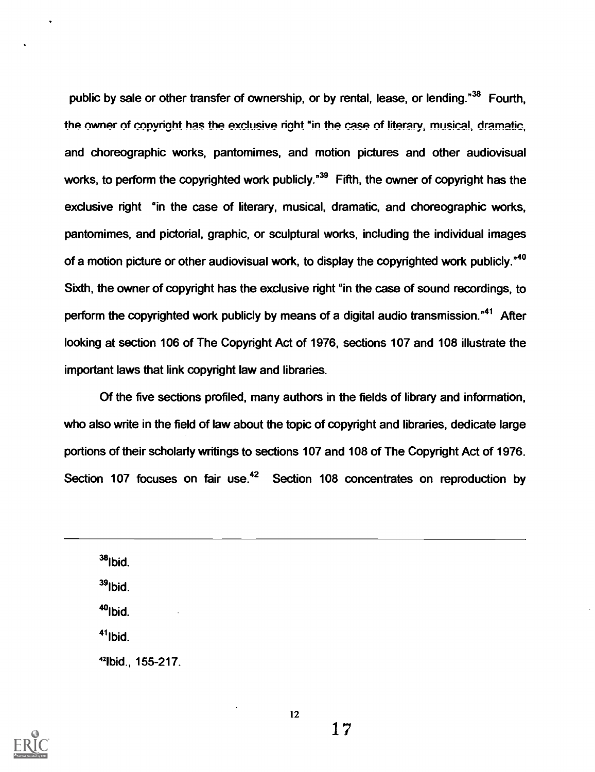public by sale or other transfer of ownership, or by rental, lease, or lending."<sup>38</sup> Fourth, the owner of copyright has the exclusive right "in the case of literary, musical, dramatic, and choreographic works, pantomimes, and motion pictures and other audiovisual works, to perform the copyrighted work publicly.<sup>"39</sup> Fifth, the owner of copyright has the exclusive right "in the case of literary, musical, dramatic, and choreographic works, pantomimes, and pictorial, graphic, or sculptural works, including the individual images of a motion picture or other audiovisual work, to display the copyrighted work publicly."<sup>40</sup> Sixth, the owner of copyright has the exclusive right "in the case of sound recordings, to perform the copyrighted work publicly by means of a digital audio transmission."<sup>41</sup> After looking at section 106 of The Copyright Act of 1976, sections 107 and 108 illustrate the important laws that link copyright law and libraries.

Of the five sections profiled, many authors in the fields of library and information, who also write in the field of law about the topic of copyright and libraries, dedicate large portions of their scholarly writings to sections 107 and 108 of The Copyright Act of 1976. Section 107 focuses on fair use.<sup>42</sup> Section 108 concentrates on reproduction by

 $38$ Ibid. 391bid.  $40$ lbid.  $41$ lbid. 9bid., 155-217.



12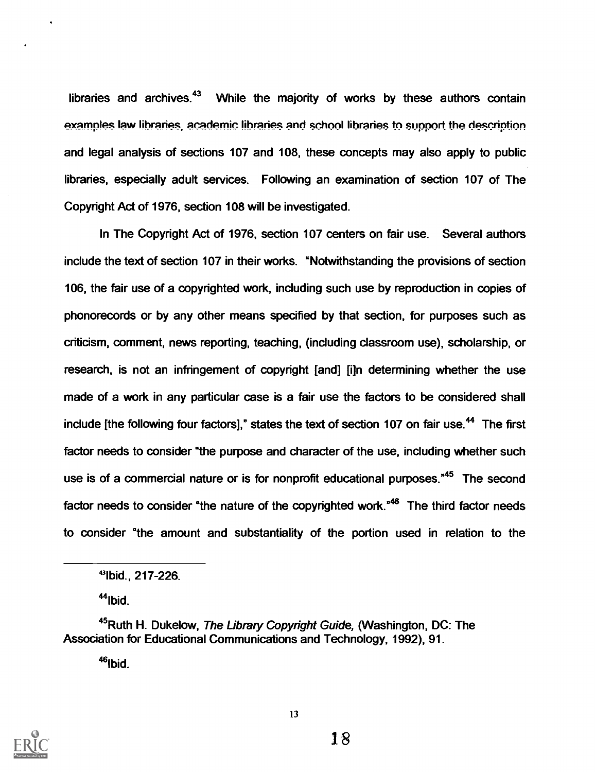libraries and archives. $43$  While the majority of works by these authors contain examples law libraries, academic libraries and school libraries to support the description and legal analysis of sections 107 and 108, these concepts may also apply to public libraries, especially adult services. Following an examination of section 107 of The Copyright Act of 1976, section 108 will be investigated.

In The Copyright Act of 1976, section 107 centers on fair use. Several authors include the text of section 107 in their works. "Notwithstanding the provisions of section 106, the fair use of a copyrighted work, including such use by reproduction in copies of phonorecords or by any other means specified by that section, for purposes such as criticism, comment, news reporting, teaching, (including classroom use), scholarship, or research, is not an infringement of copyright [and] [i]n determining whether the use made of a work in any particular case is a fair use the factors to be considered shall include [the following four factors]," states the text of section 107 on fair use.<sup>44</sup> The first factor needs to consider "the purpose and character of the use, including whether such use is of a commercial nature or is for nonprofit educational purposes.<sup>"45</sup> The second factor needs to consider "the nature of the copyrighted work."<sup>46</sup> The third factor needs to consider "the amount and substantiality of the portion used in relation to the

 $44$ Ibid.

 $46$ Ibid.



<sup>43</sup>Ibid., 217-226.

 $45$ Ruth H. Dukelow, The Library Copyright Guide, (Washington, DC: The Association for Educational Communications and Technology, 1992), 91.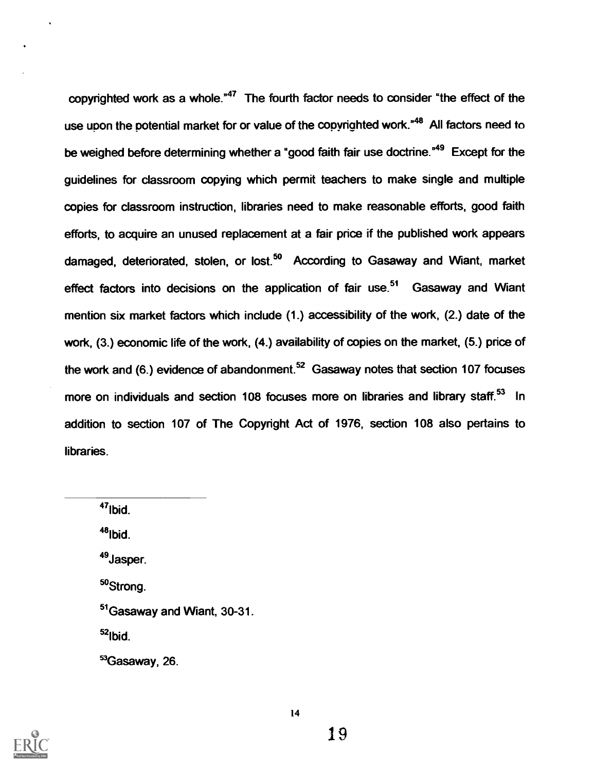copyrighted work as a whole.<sup>"47</sup> The fourth factor needs to consider "the effect of the use upon the potential market for or value of the copyrighted work.<sup>"48</sup> All factors need to be weighed before determining whether a "good faith fair use doctrine."<sup>49</sup> Except for the guidelines for classroom copying which permit teachers to make single and multiple copies for classroom instruction, libraries need to make reasonable efforts, good faith efforts, to acquire an unused replacement at a fair price if the published work appears damaged, deteriorated, stolen, or lost.<sup>50</sup> According to Gasaway and Wiant, market effect factors into decisions on the application of fair use.<sup>51</sup> Gasaway and Wiant mention six market factors which include (1.) accessibility of the work, (2.) date of the work, (3.) economic life of the work, (4.) availability of copies on the market, (5.) price of the work and  $(6)$  evidence of abandonment.<sup>52</sup> Gasaway notes that section 107 focuses more on individuals and section 108 focuses more on libraries and library staff.<sup>53</sup> In addition to section 107 of The Copyright Act of 1976, section 108 also pertains to libraries.

 $47$ Ibid.  $48$ <sub>lbid.</sub> <sup>49</sup>Jasper. 5°Strong. <sup>51</sup> Gasaway and Wiant, 30-31.  $52$ Ibid. 53Gasaway, 26.

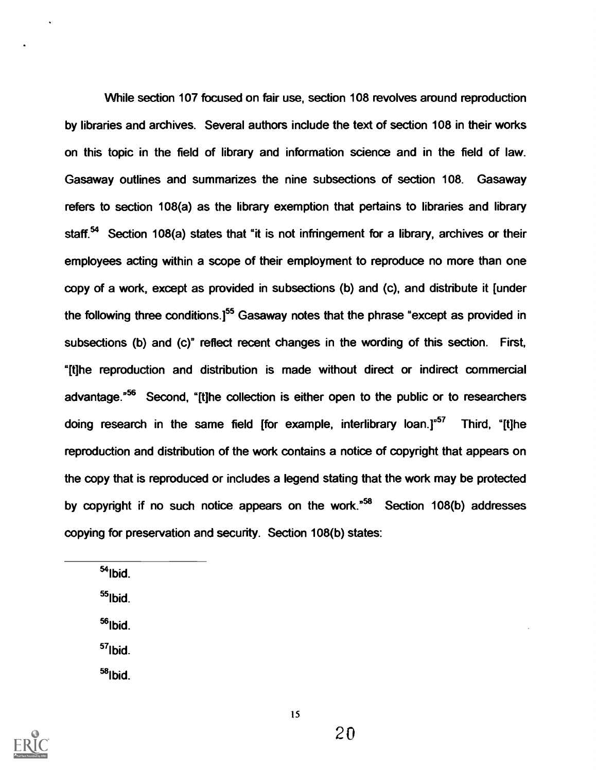While section 107 focused on fair use, section 108 revolves around reproduction by libraries and archives. Several authors include the text of section 108 in their works on this topic in the field of library and information science and in the field of law. Gasaway outlines and summarizes the nine subsections of section 108. Gasaway refers to section 108(a) as the library exemption that pertains to libraries and library staff.<sup>54</sup> Section 108(a) states that "it is not infringement for a library, archives or their employees acting within a scope of their employment to reproduce no more than one copy of a work, except as provided in subsections (b) and (c), and distribute it [under the following three conditions.<sup>[55</sup> Gasaway notes that the phrase "except as provided in subsections (b) and (c)" reflect recent changes in the wording of this section. First, "[t]he reproduction and distribution is made without direct or indirect commercial advantage.<sup>556</sup> Second, "[t]he collection is either open to the public or to researchers doing research in the same field [for example, interlibrary loan.]"<sup>57</sup> Third, "[t]he reproduction and distribution of the work contains a notice of copyright that appears on the copy that is reproduced or includes a legend stating that the work may be protected by copyright if no such notice appears on the work."58 Section 108(b) addresses copying for preservation and security. Section 108(b) states:

 $54$ Ibid.

 $55$ lbid.

 $56$ Ibid.

57lbid.

 $58$ Ibid.

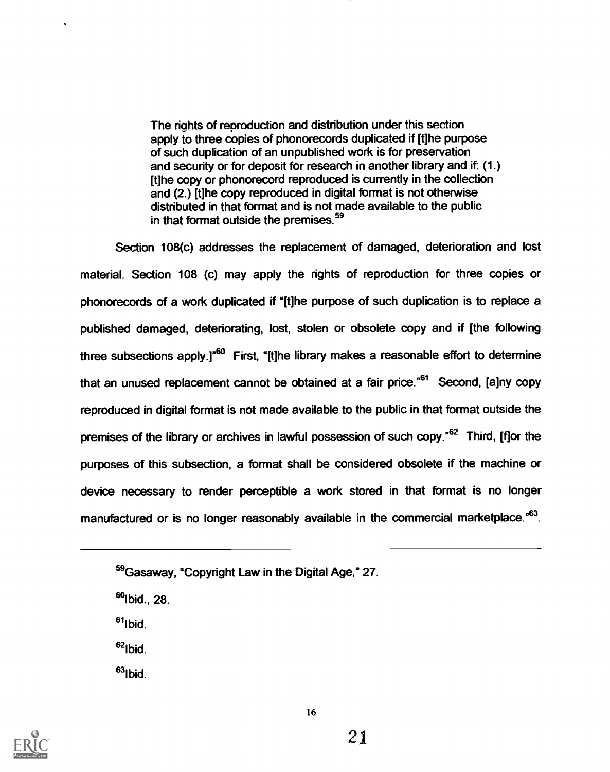The riahts of reproduction and distribution under this section apply to three copies of phonorecords duplicated if [t]he purpose of such duplication of an unpublished work is for preservation and security or for deposit for research in another library and if: (1.) [t]he copy or phonorecord reproduced is currently in the collection and (2.) [t]he copy reproduced in digital format is not otherwise distributed in that format and is not made available to the public in that format outside the premises.<sup>59</sup>

Section 108(c) addresses the replacement of damaged, deterioration and lost material. Section 108 (c) may apply the rights of reproduction for three copies or phonorecords of a work duplicated if "[t]he purpose of such duplication is to replace a published damaged, deteriorating, lost, stolen or obsolete copy and if [the following three subsections apply.]"<sup>60</sup> First, "[t]he library makes a reasonable effort to determine that an unused replacement cannot be obtained at a fair price.<sup> $561$ </sup> Second, [a]ny copy reproduced in digital format is not made available to the public in that format outside the premises of the library or archives in lawful possession of such copy.<sup>"62</sup> Third, [f]or the purposes of this subsection, a format shall be considered obsolete if the machine or device necessary to render perceptible a work stored in that format is no longer manufactured or is no longer reasonably available in the commercial marketplace.<sup>"63</sup>.

 $^{60}$ lbid., 28.

 $61$ Ibid.

 $62$ lbid

 $63$ lbid.



<sup>&</sup>lt;sup>59</sup> Gasaway, "Copyright Law in the Digital Age," 27.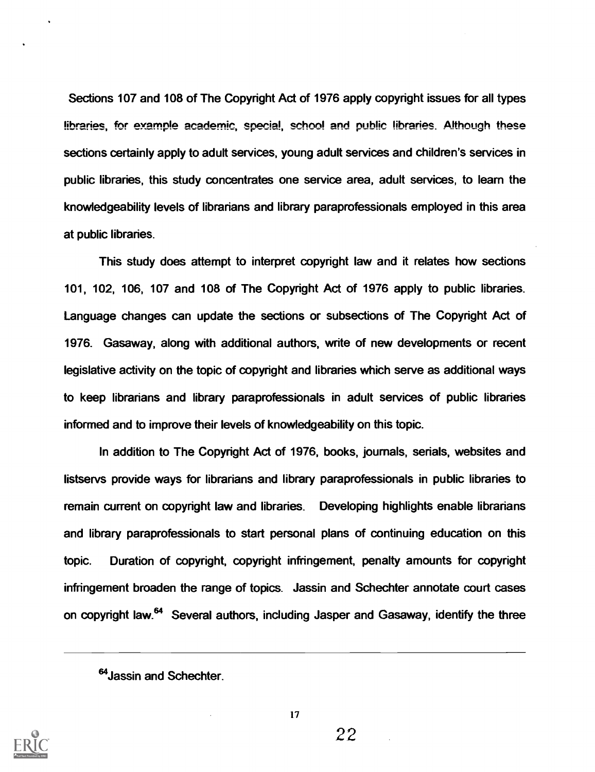Sections 107 and 108 of The Copyright Act of 1976 apply copyright issues for all types libraries, for example academic, special, school and public libraries. Although these sections certainly apply to adult services, young adult services and children's services in public libraries, this study concentrates one service area, adult services, to learn the knowledgeability levels of librarians and library paraprofessionals employed in this area at public libraries.

This study does attempt to interpret copyright law and it relates how sections 101, 102, 106, 107 and 108 of The Copyright Act of 1976 apply to public libraries. Language changes can update the sections or subsections of The Copyright Act of 1976. Gasaway, along with additional authors, write of new developments or recent legislative activity on the topic of copyright and libraries which serve as additional ways to keep librarians and library paraprofessionals in adult services of public libraries informed and to improve their levels of knowledgeability on this topic.

In addition to The Copyright Act of 1976, books, journals, serials, websites and listservs provide ways for librarians and library paraprofessionals in public libraries to remain current on copyright law and libraries. Developing highlights enable librarians and library paraprofessionals to start personal plans of continuing education on this topic. Duration of copyright, copyright infringement, penalty amounts for copyright infringement broaden the range of topics. Jassin and Schechter annotate court cases on copyright law.<sup>64</sup> Several authors, including Jasper and Gasaway, identify the three



17

<sup>&</sup>lt;sup>64</sup> Jassin and Schechter.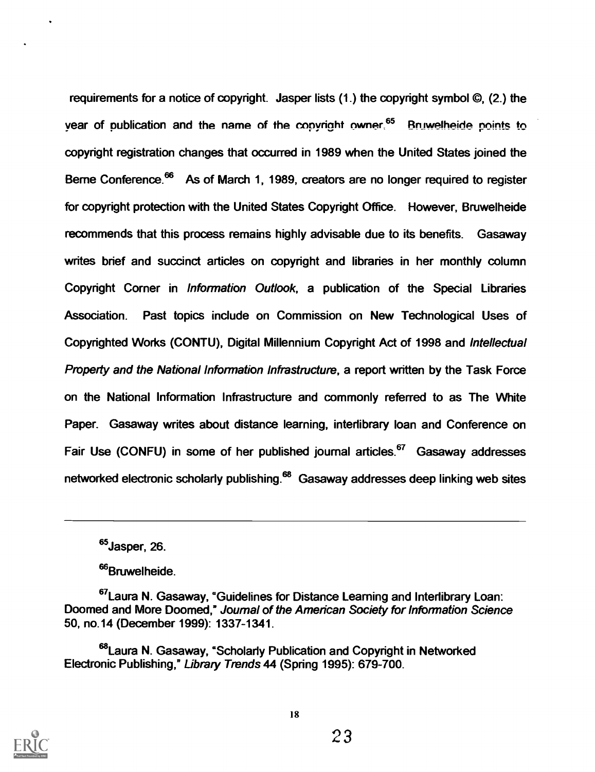requirements for a notice of copyright. Jasper lists (1.) the copyright symbol ©, (2.) the year of publication and the name of the copyright owner.<sup>65</sup> Bnjwelheide points to copyright registration changes that occurred in 1989 when the United States joined the Berne Conference.<sup>66</sup> As of March 1, 1989, creators are no longer required to register for copyright protection with the United States Copyright Office. However, Bruwelheide recommends that this process remains highly advisable due to its benefits. Gasaway writes brief and succinct articles on copyright and libraries in her monthly column Copyright Corner in Information Outlook, a publication of the Special Libraries Association. Past topics include on Commission on New Technological Uses of Copyrighted Works (CONTU), Digital Millennium Copyright Act of 1998 and Intellectual Property and the National Information Infrastructure, a report written by the Task Force on the National Information Infrastructure and commonly referred to as The White Paper. Gasaway writes about distance learning, interlibrary loan and Conference on Fair Use (CONFU) in some of her published journal articles.<sup>67</sup> Gasaway addresses networked electronic scholarly publishing.<sup>68</sup> Gasaway addresses deep linking web sites

<sup>66</sup>Bruwelheide.



<sup>&</sup>lt;sup>65</sup>Jasper, 26.

<sup>&</sup>lt;sup>67</sup>Laura N. Gasaway, "Guidelines for Distance Learning and Interlibrary Loan: Doomed and More Doomed,° Journal of the American Society for Information Science 50, no.14 (December 1999): 1337-1341.

<sup>&</sup>lt;sup>68</sup>Laura N. Gasaway, "Scholarly Publication and Copyright in Networked Electronic Publishing,° Library Trends 44 (Spring 1995): 679-700.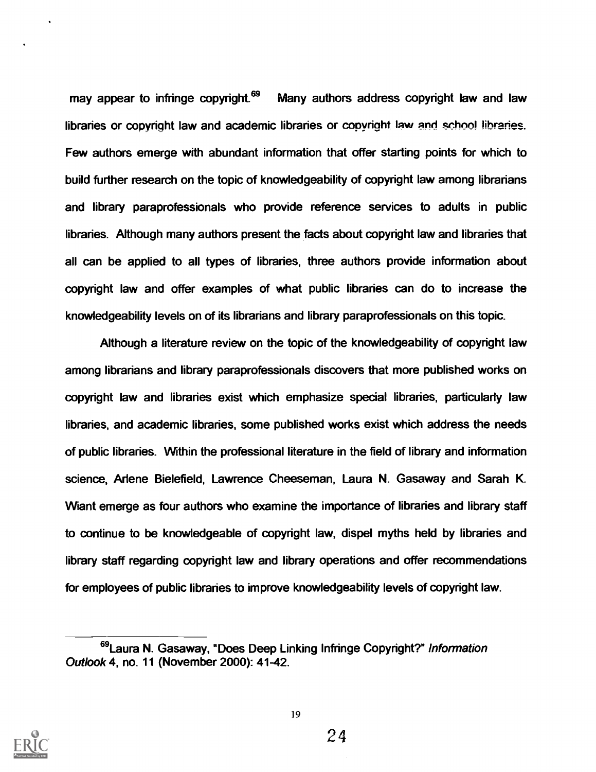may appear to infringe copyright.<sup>69</sup> Many authors address copyright law and law libraries or copyright law and academic libraries or copyright law and school libraries. Few authors emerge with abundant information that offer starting points for which to build further research on the topic of knowledgeability of copyright law among librarians and library paraprofessionals who provide reference services to adults in public libraries. Although many authors present the facts about copyright law and libraries that all can be applied to all types of libraries, three authors provide information about copyright law and offer examples of what public libraries can do to increase the knowledgeability levels on of its librarians and library paraprofessionals on this topic.

Although a literature review on the topic of the knowledgeability of copyright law among librarians and library paraprofessionals discovers that more published works on copyright law and libraries exist which emphasize special libraries, particularly law libraries, and academic libraries, some published works exist which address the needs of public libraries. Within the professional literature in the field of library and information science, Arlene Bielefield, Lawrence Cheeseman, Laura N. Gasaway and Sarah K. Want emerge as four authors who examine the importance of libraries and library staff to continue to be knowledgeable of copyright law, dispel myths held by libraries and library staff regarding copyright law and library operations and offer recommendations for employees of public libraries to improve knowledgeability levels of copyright law.



<sup>69</sup>Laura N. Gasaway, "Does Deep Linking Infringe Copyright?" Information Outlook 4, no. 11 (November 2000): 41-42.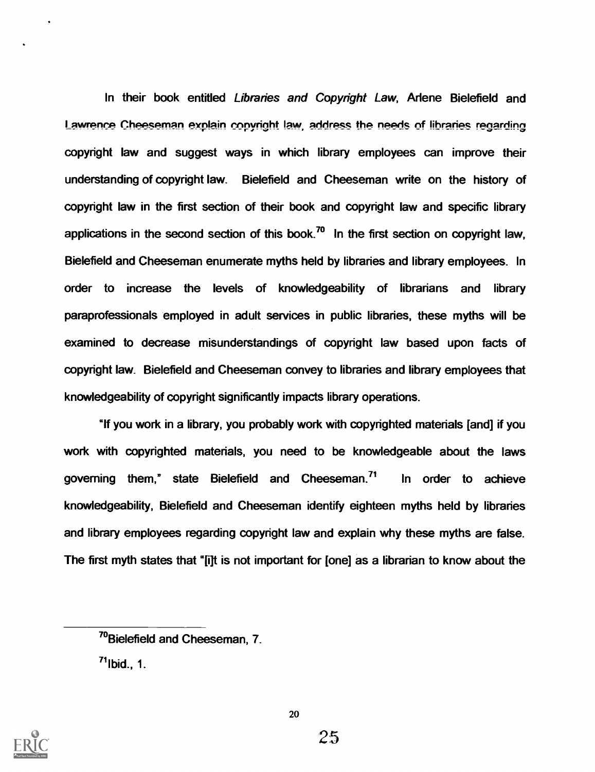In their book entitled Libraries and Copyright Law, Arlene Bielefield and Lawrence Cheeseman explain copyright law, address the needs of libraries regarding copyright law and suggest ways in which library employees can improve their understanding of copyright law. Bielefield and Cheeseman write on the history of copyright law in the first section of their book and copyright law and specific library applications in the second section of this book.<sup>70</sup> In the first section on copyright law, Bielefield and Cheeseman enumerate myths held by libraries and library employees. In order to increase the levels of knowledgeability of librarians and library paraprofessionals employed in adult services in public libraries, these myths will be examined to decrease misunderstandings of copyright law based upon facts of copyright law. Bielefield and Cheeseman convey to libraries and library employees that knowledgeability of copyright significantly impacts library operations.

"If you work in a library, you probably work with copyrighted materials [and] if you work with copyrighted materials, you need to be knowledgeable about the laws governing them," state Bielefield and Cheeseman.<sup>71</sup> In order to achieve knowledgeability, Bielefield and Cheeseman identify eighteen myths held by libraries and library employees regarding copyright law and explain why these myths are false. The first myth states that "[i]t is not important for [one] as a librarian to know about the



<sup>&</sup>quot;Bielefield and Cheeseman, 7.

 $71$ Ibid., 1.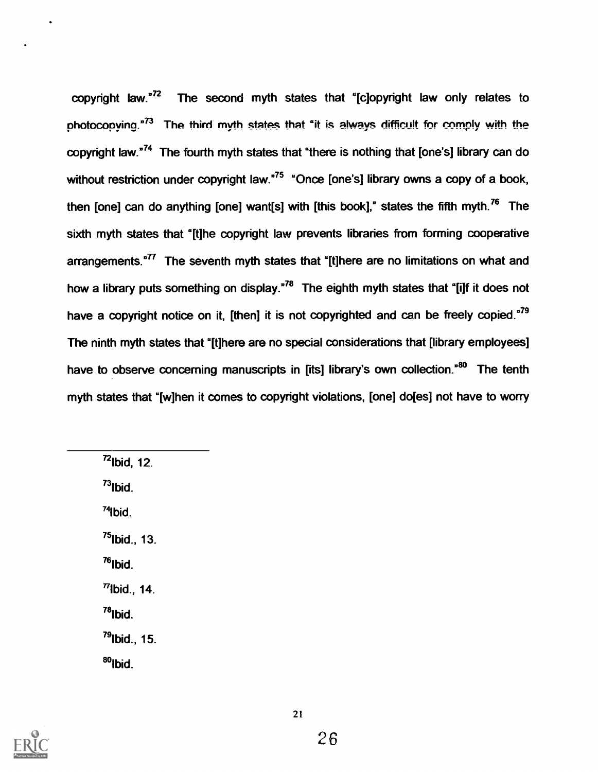copyright law."72 The second myth states that "[c]opyright law only relates to photocopying. $n^{73}$  The third myth states that "it is always difficult for comply with the copyright law."<sup>74</sup> The fourth myth states that "there is nothing that [one's] library can do without restriction under copyright law.<sup>"75</sup> "Once [one's] library owns a copy of a book, then [one] can do anything [one] want[s] with [this book]," states the fifth myth.<sup>76</sup> The sixth myth states that "[t]he copyright law prevents libraries from forming cooperative arrangements. $T$ <sup>77</sup> The seventh myth states that "[t]here are no limitations on what and how a library puts something on display. $n^{78}$  The eighth myth states that "[i]f it does not have a copyright notice on it, [then] it is not copyrighted and can be freely copied."<sup>79</sup> The ninth myth states that "[t]here are no special considerations that [library employees] have to observe concerning manuscripts in [its] library's own collection.<sup>80</sup> The tenth myth states that "[w]hen it comes to copyright violations, [one] do[es] not have to worry

 $^{72}$ lbid, 12.  $^{73}$ lbid.  $74$ lbid.  $^{75}$ lbid., 13.  $76$ Ibid.  $77$ lbid., 14.  $78$ lbid.  $^{79}$ lbid., 15.  $80$ <sub>Ibid.</sub>

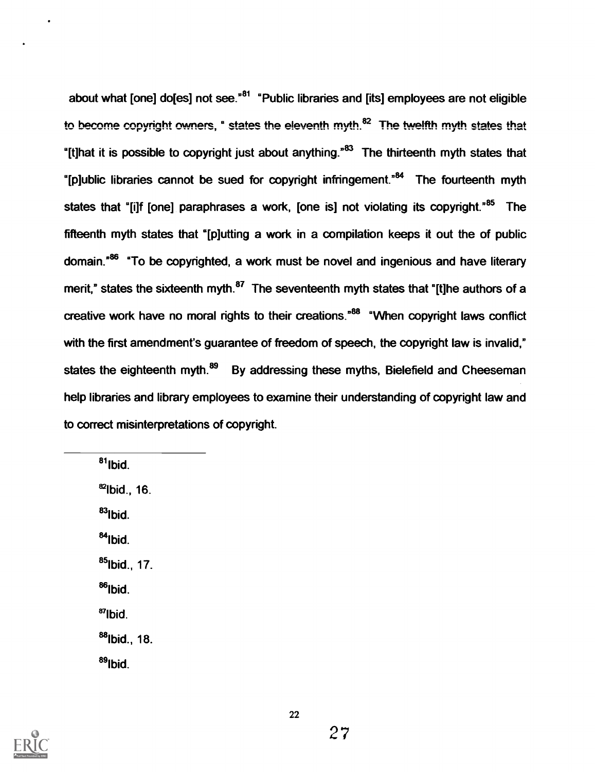about what [one] do[es] not see. $<sup>n81</sup>$  "Public libraries and [its] employees are not eligible</sup> to become copyright owners, " states the eleventh myth.<sup>82</sup> The twelfth myth states that "It that it is possible to copyright just about anything."<sup>83</sup> The thirteenth myth states that "[plublic libraries cannot be sued for copyright infringement."<sup>84</sup> The fourteenth myth states that "filf fone] paraphrases a work, fone is] not violating its copyright."<sup>85</sup> The fifteenth myth states that "[p]utting a work in a compilation keeps it out the of public domain.<sup>86</sup> "To be copyrighted, a work must be novel and ingenious and have literary merit," states the sixteenth myth. $187$  The seventeenth myth states that "[t]he authors of a creative work have no moral rights to their creations."88 "When copyright laws conflict with the first amendment's guarantee of freedom of speech, the copyright law is invalid," states the eighteenth myth.<sup>89</sup> By addressing these myths, Bielefield and Cheeseman help libraries and library employees to examine their understanding of copyright law and to correct misinterpretations of copyright.

 $^{81}$ lbid  $82$ Ibid., 16.  $83$ lbid.  $84$ Ibid. 85lbid., 17. 88lbid.  $87$  Ibid. 88lbid., 18. <sup>89</sup>lbid



22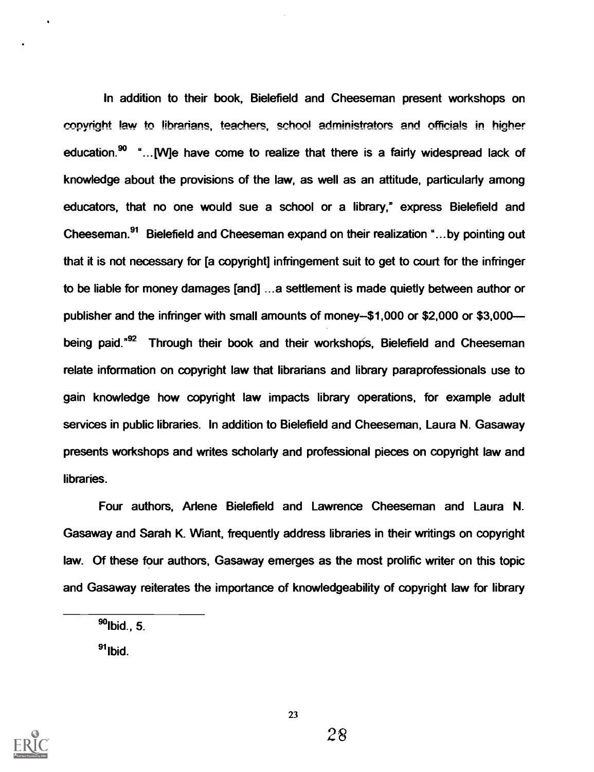In addition to their book, Bielefield and Cheeseman present workshops on copyright law to librarians, teachers, school administrators and officials in higher education.<sup>90</sup> "... [W]e have come to realize that there is a fairly widespread lack of knowledge about the provisions of the law, as well as an attitude, particularly among educators, that no one would sue a school or a library," express Bielefield and Cheeseman.91 Bielefield and Cheeseman expand on their realization "...by pointing out that it is not necessary for [a copyright] infringement suit to get to court for the infringer to be liable for money damages [and] ...a settlement is made quietly between author or publisher and the infringer with small amounts of money- $$1,000$  or  $$2,000$  or  $$3,000$ being paid."<sup>92</sup> Through their book and their workshops, Bielefield and Cheeseman relate information on copyright law that librarians and library paraprofessionals use to gain knowledge how copyright law impacts library operations, for example adult services in public libraries. In addition to Bielefield and Cheeseman, Laura N. Gasaway presents workshops and writes scholarly and professional pieces on copyright law and libraries.

Four authors, Arlene Bielefield and Lawrence Cheeseman and Laura N. Gasaway and Sarah K. Want, frequently address libraries in their writings on copyright law. Of these four authors, Gasaway emerges as the most prolific writer on this topic and Gasaway reiterates the importance of knowledgeability of copyright law for library

 $91$ Ibid.



 $90$ Ibid., 5.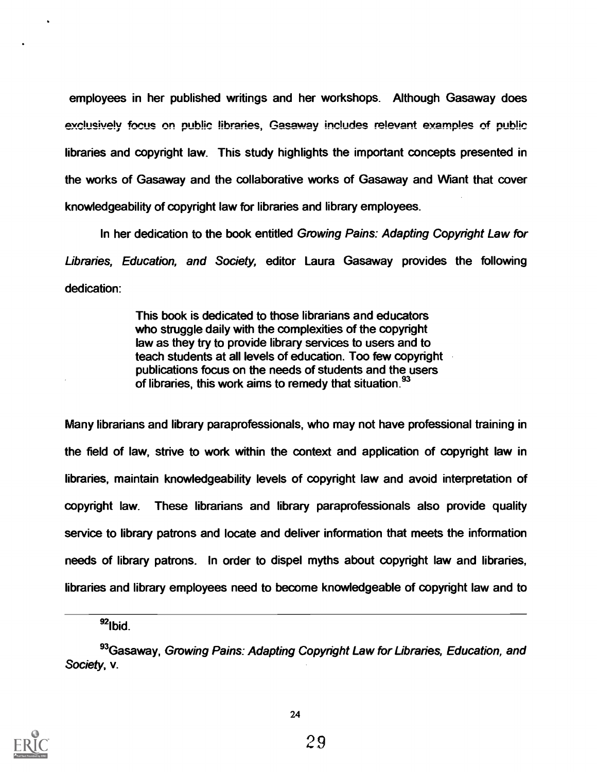employees in her published writings and her workshops. Although Gasaway does exclusively focus on public libraries, Gasaway includes relevant examples of public libraries and copyright law. This study highlights the important concepts presented in the works of Gasaway and the collaborative works of Gasaway and Wiant that cover knowledgeability of copyright law for libraries and library employees.

In her dedication to the book entitled Growing Pains: Adapting Copyright Law for Libraries, Education, and Society, editor Laura Gasaway provides the following dedication:

> This book is dedicated to those librarians and educators who struggle daily with the complexities of the copyright law as they try to provide library services to users and to teach students at all levels of education. Too few copyright publications focus on the needs of students and the users of libraries, this work aims to remedy that situation.<sup>93</sup>

Many librarians and library paraprofessionals, who may not have professional training in the field of law, strive to work within the context and application of copyright law in libraries, maintain knowledgeability levels of copyright law and avoid interpretation of copyright law. These librarians and library paraprofessionals also provide quality service to library patrons and locate and deliver information that meets the information needs of library patrons. In order to dispel myths about copyright law and libraries, libraries and library employees need to become knowledgeable of copyright law and to

93 Gasaway, Growing Pains: Adapting Copyright Law for Libraries, Education, and Society, v.



 $92$ Ibid.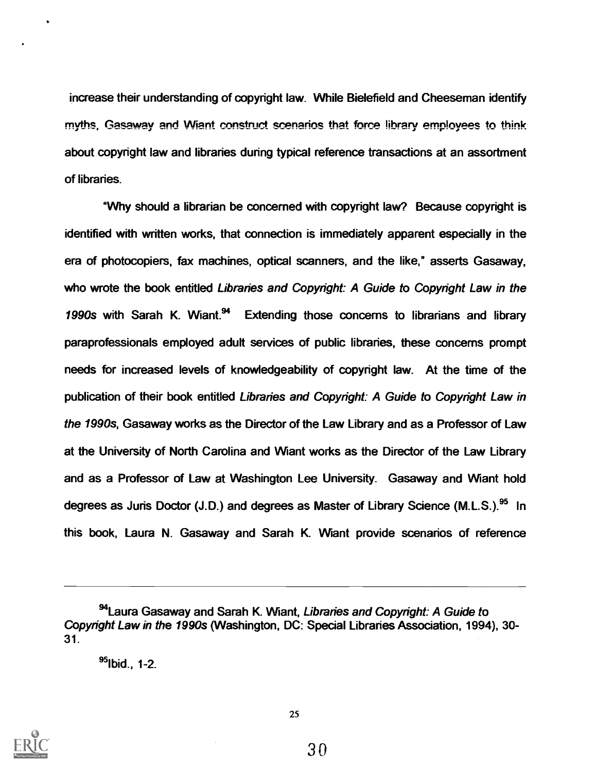increase their understanding of copyright law. While Bielefield and Cheeseman identify myths, Gasaway and Wiant construct scenarios that force library employees to think about copyright law and libraries during typical reference transactions at an assortment of libraries.

'Why should a librarian be concerned with copyright law? Because copyright is identified with written works, that connection is immediately apparent especially in the era of photocopiers, fax machines, optical scanners, and the like," asserts Gasaway, who wrote the book entitled Libraries and Copyright: A Guide to Copyright Law in the 1990s with Sarah K. Wiant.<sup>94</sup> Extending those concerns to librarians and library paraprofessionals employed adult services of public libraries, these concerns prompt needs for increased levels of knowledgeability of copyright law. At the time of the publication of their book entitled Libraries and Copyright: A Guide to Copyright Law in the 1990s, Gasaway works as the Director of the Law Library and as a Professor of Law at the University of North Carolina and Want works as the Director of the Law Library and as a Professor of Law at Washington Lee University. Gasaway and Want hold degrees as Juris Doctor (J.D.) and degrees as Master of Library Science (M.L.S.).<sup>95</sup> In this book, Laura N. Gasaway and Sarah K. Wiant provide scenarios of reference

95Ibid., 1-2.



<sup>94</sup>Laura Gasaway and Sarah K. Wiant, Libraries and Copyright: A Guide to Copyright Law in the 1990s (Washington, DC: Special Libraries Association, 1994), 30- 31.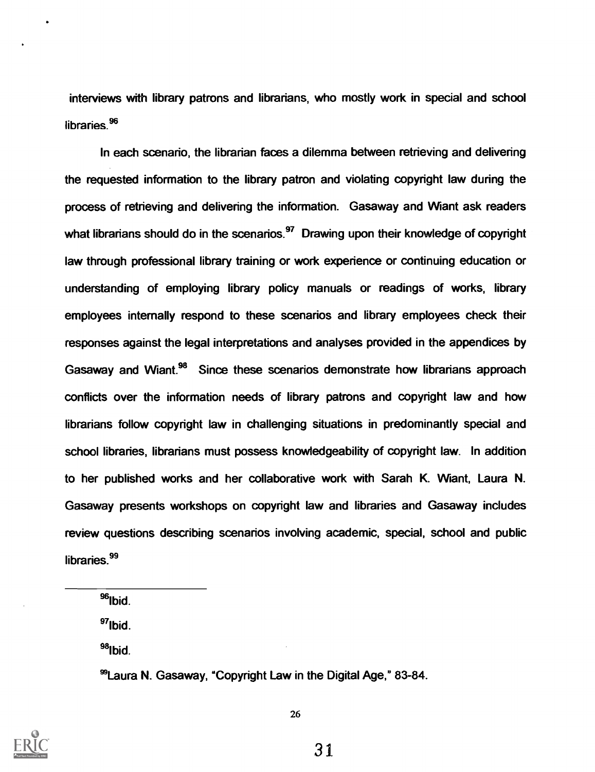interviews with library patrons and librarians, who mostly work in special and school libraries.<sup>96</sup>

In each scenario, the librarian faces a dilemma between retrieving and delivering the requested information to the library patron and violating copyright law during the process of retrieving and delivering the information. Gasaway and Want ask readers what librarians should do in the scenarios. $97$  Drawing upon their knowledge of copyright law through professional library training or work experience or continuing education or understanding of employing library policy manuals or readings of works, library employees internally respond to these scenarios and library employees check their responses against the legal interpretations and analyses provided in the appendices by Gasaway and Wiant.<sup>98</sup> Since these scenarios demonstrate how librarians approach conflicts over the information needs of library patrons and copyright law and how librarians follow copyright law in challenging situations in predominantly special and school libraries, librarians must possess knowledgeability of copyright law. In addition to her published works and her collaborative work with Sarah K. Want, Laura N. Gasaway presents workshops on copyright law and libraries and Gasaway includes review questions describing scenarios involving academic, special, school and public libraries.<sup>99</sup>

<sup>96</sup>lbid.

 $97$ lbid.

<sup>98</sup>lbid.

°Laura N. Gasaway, "Copyright Law in the Digital Age," 83-84.

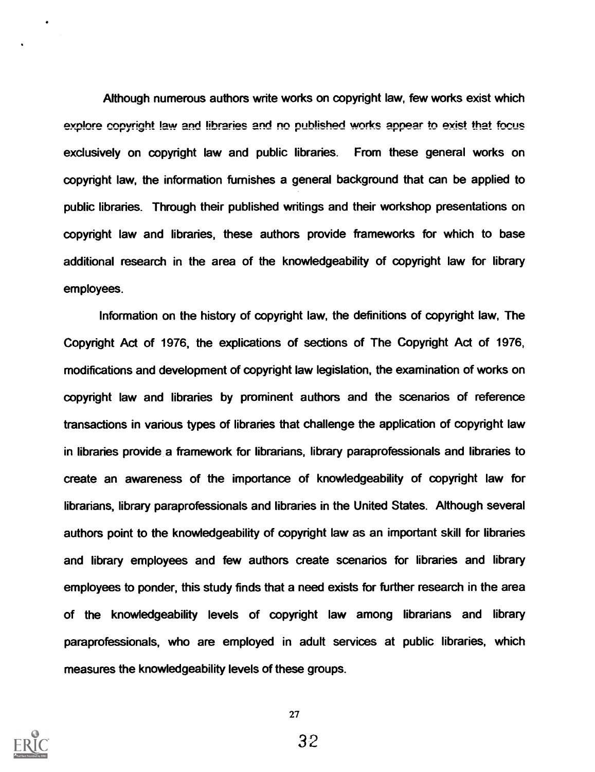Although numerous authors write works on copyright law, few works exist which explore copyright law and libraries and no published works appear to exist that focus exclusively on copyright law and public libraries. From these general works on copyright law, the information furnishes a general background that can be applied to public libraries. Through their published writings and their workshop presentations on copyright law and libraries, these authors provide frameworks for which to base additional research in the area of the knowledgeability of copyright law for library employees.

Information on the history of copyright law, the definitions of copyright law, The Copyright Act of 1976, the explications of sections of The Copyright Act of 1976, modifications and development of copyright law legislation, the examination of works on copyright law and libraries by prominent authors and the scenarios of reference transactions in various types of libraries that challenge the application of copyright law in libraries provide a framework for librarians, library paraprofessionals and libraries to create an awareness of the importance of knowledgeability of copyright law for librarians, library paraprofessionals and libraries in the United States. Although several authors point to the knowledgeability of copyright law as an important skill for libraries and library employees and few authors create scenarios for libraries and library employees to ponder, this study finds that a need exists for further research in the area of the knowledgeability levels of copyright law among librarians and library paraprofessionals, who are employed in adult services at public libraries, which measures the knowledgeability levels of these groups.

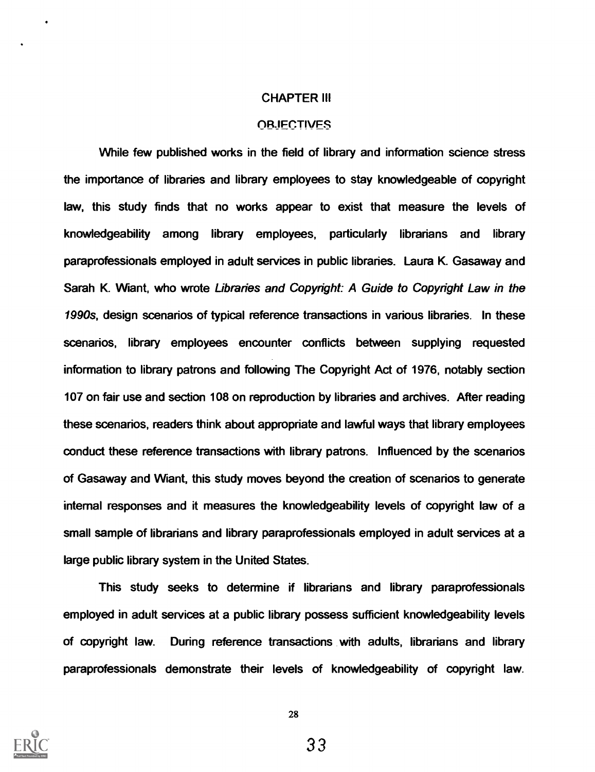#### CHAPTER III

#### **OR.IECTIVES**

While few published works in the field of library and information science stress the importance of libraries and library employees to stay knowledgeable of copyright law, this study finds that no works appear to exist that measure the levels of knowledgeability among library employees, particularly librarians and library paraprofessionals employed in adult services in public libraries. Laura K. Gasaway and Sarah K. Wiant, who wrote Libraries and Copyright: A Guide to Copyright Law in the 1990s, design scenarios of typical reference transactions in various libraries. In these scenarios, library employees encounter conflicts between supplying requested information to library patrons and following The Copyright Act of 1976, notably section 107 on fair use and section 108 on reproduction by libraries and archives. After reading these scenarios, readers think about appropriate and lawful ways that library employees conduct these reference transactions with library patrons. Influenced by the scenarios of Gasaway and Want, this study moves beyond the creation of scenarios to generate internal responses and it measures the knowledgeability levels of copyright law of a small sample of librarians and library paraprofessionals employed in adult services at a large public library system in the United States.

This study seeks to determine if librarians and library paraprofessionals employed in adult services at a public library possess sufficient knowledgeability levels of copyright law. During reference transactions with adults, librarians and library paraprofessionals demonstrate their levels of knowledgeability of copyright law.

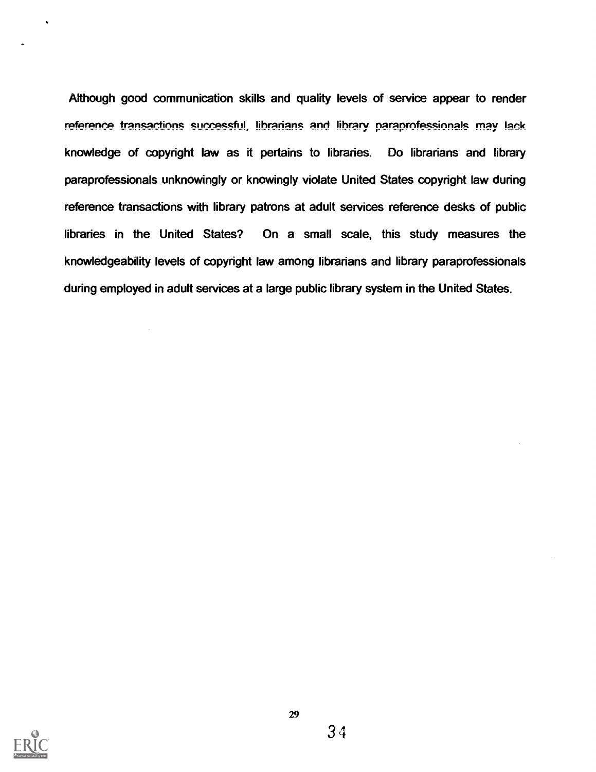Although good communication skills and quality levels of service appear to render reference transactions successful, librarians and library paraprofessionals may lack knowledge of copyright law as it pertains to libraries. Do librarians and library paraprofessionals unknowingly or knowingly violate United States copyright law during reference transactions with library patrons at adult services reference desks of public libraries in the United States? On a small scale, this study measures the knowledgeability levels of copyright law among librarians and library paraprofessionals during employed in adult services at a large public library system in the United States.

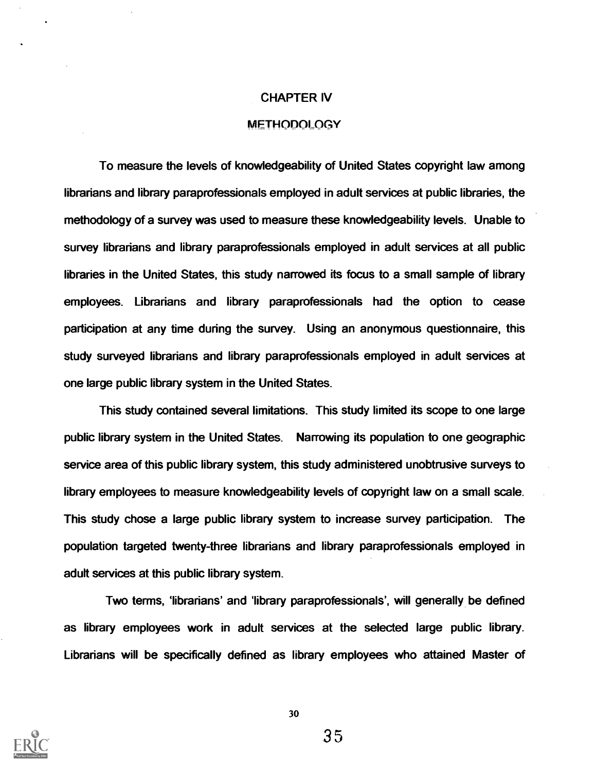#### CHAPTER IV

#### METHODOLOGY

To measure the levels of knowledgeability of United States copyright law among librarians and library paraprofessionals employed in adult services at public libraries, the methodology of a survey was used to measure these knowledgeability levels. Unable to survey librarians and library paraprofessionals employed in adult services at all public libraries in the United States, this study narrowed its focus to a small sample of library employees. Librarians and library paraprofessionals had the option to cease participation at any time during the survey. Using an anonymous questionnaire, this study surveyed librarians and library paraprofessionals employed in adult services at one large public library system in the United States.

This study contained several limitations. This study limited its scope to one large public library system in the United States. Narrowing its population to one geographic service area of this public library system, this study administered unobtrusive surveys to library employees to measure knowledgeability levels of copyright law on a small scale. This study chose a large public library system to increase survey participation. The population targeted twenty-three librarians and library paraprofessionals employed in adult services at this public library system.

Two terms, 'librarians' and 'library paraprofessionals', will generally be defined as library employees work in adult services at the selected large public library. Librarians will be specifically defined as library employees who attained Master of

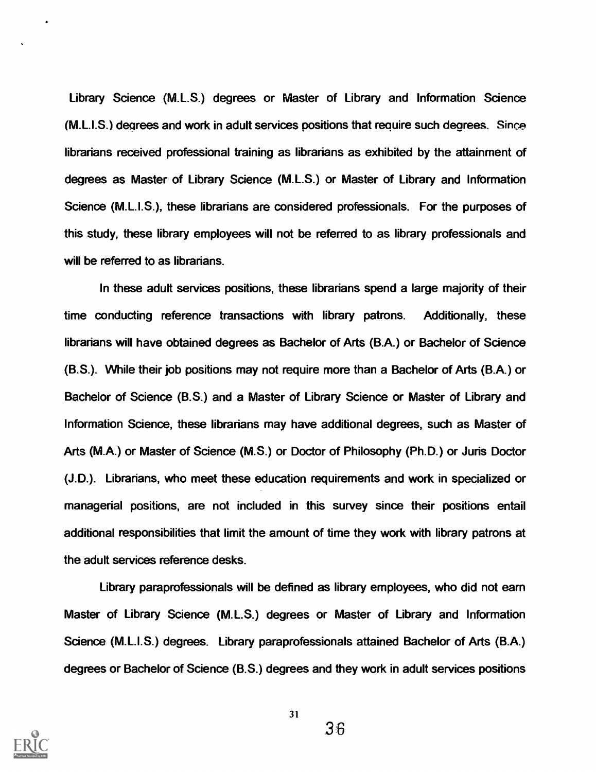Library Science (M.L.S.) degrees or Master of Library and Information Science (M.L.I.S.) degrees and work in adult services positions that require such degrees. Since librarians received professional training as librarians as exhibited by the attainment of degrees as Master of Library Science (M.L.S.) or Master of Library and Information Science (M.L.I.S.), these librarians are considered professionals. For the purposes of this study, these library employees will not be referred to as library professionals and will be referred to as librarians.

In these adult services positions, these librarians spend a large majority of their time conducting reference transactions with library patrons. Additionally, these librarians will have obtained degrees as Bachelor of Arts (B.A.) or Bachelor of Science (B.S.). While their job positions may not require more than a Bachelor of Arts (BA) or Bachelor of Science (B.S.) and a Master of Library Science or Master of Library and Information Science, these librarians may have additional degrees, such as Master of Arts (M.A.) or Master of Science (M.S.) or Doctor of Philosophy (Ph.D.) or Juris Doctor (J.D.). Librarians, who meet these education requirements and work in specialized or managerial positions, are not included in this survey since their positions entail additional responsibilities that limit the amount of time they work with library patrons at the adult services reference desks.

Library paraprofessionals will be defined as library employees, who did not earn Master of Library Science (M.L.S.) degrees or Master of Library and Information Science (M.L.I.S.) degrees. Library paraprofessionals attained Bachelor of Arts (B.A.) degrees or Bachelor of Science (B.S.) degrees and they work in adult services positions



31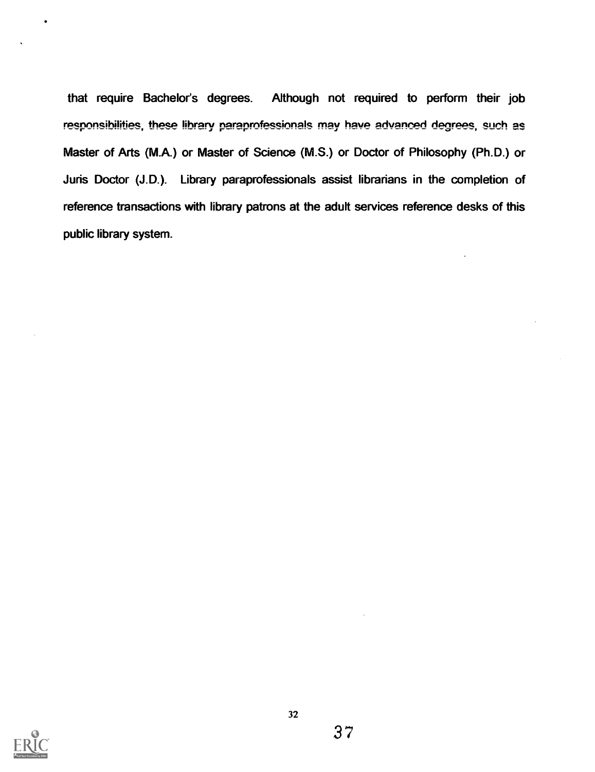that require Bachelor's degrees. Although not required to perform their job responsibilities, these library paraprofessionals may have advanced degrees, such as Master of Arts (M.A.) or Master of Science (M.S.) or Doctor of Philosophy (Ph.D.) or Juris Doctor (J.D.). Library paraprofessionals assist librarians in the completion of reference transactions with library patrons at the adult services reference desks of this public library system.

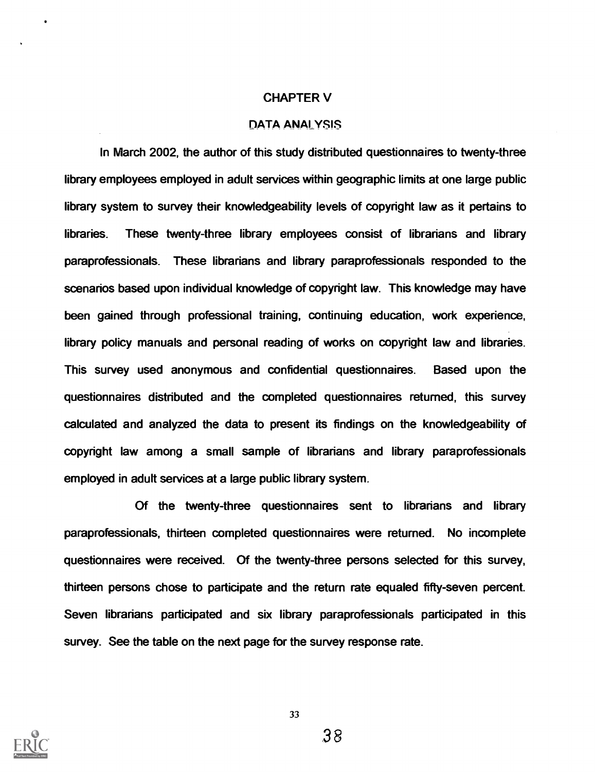#### CHAPTER V

#### DATA ANALYSIS

In March 2002, the author of this study distributed questionnaires to twenty-three library employees employed in adult services within geographic limits at one large public library system to survey their knowledgeability levels of copyright law as it pertains to libraries. These twenty-three library employees consist of librarians and library paraprofessionals. These librarians and library paraprofessionals responded to the scenarios based upon individual knowledge of copyright law. This knowledge may have been gained through professional training, continuing education, work experience, library policy manuals and personal reading of works on copyright law and libraries. This survey used anonymous and confidential questionnaires. Based upon the questionnaires distributed and the completed questionnaires returned, this survey calculated and analyzed the data to present its findings on the knowledgeability of copyright law among a small sample of librarians and library paraprofessionals employed in adult services at a large public library system.

Of the twenty-three questionnaires sent to librarians and library paraprofessionals, thirteen completed questionnaires were returned. No incomplete questionnaires were received. Of the twenty-three persons selected for this survey, thirteen persons chose to participate and the return rate equaled fifty-seven percent. Seven librarians participated and six library paraprofessionals participated in this survey. See the table on the next page for the survey response rate.

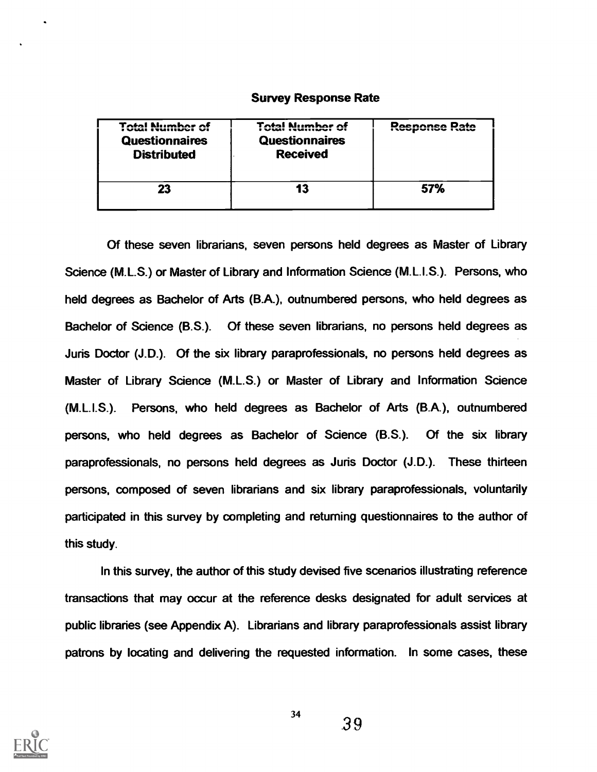#### Survey Response Rate

| Total Number of<br>ivuli Muhibci Vi<br><b>Questionnaires</b><br><b>Distributed</b> | <b>Total Number of</b><br><b>Questionnaires</b><br><b>Received</b> | Reenonee Pate<br><b>INDIAN I WORK IN THE UP OF A</b> |
|------------------------------------------------------------------------------------|--------------------------------------------------------------------|------------------------------------------------------|
|                                                                                    | 13                                                                 | 57%                                                  |

Of these seven librarians, seven persons held degrees as Master of Library Science (M.L.S.) or Master of Library and Information Science (M.L.I.S.). Persons, who held degrees as Bachelor of Arts (B.A.), outnumbered persons, who held degrees as Bachelor of Science (B.S.). Of these seven librarians, no persons held degrees as Juris Doctor (J.D.). Of the six library paraprofessionals, no persons held degrees as Master of Library Science (M.L.S.) or Master of Library and Information Science (M.L.I.S.). Persons, who held degrees as Bachelor of Arts (BA), outnumbered persons, who held degrees as Bachelor of Science (B.S.). Of the six library paraprofessionals, no persons held degrees as Juris Doctor (J.D.). These thirteen persons, composed of seven librarians and six library paraprofessionals, voluntarily participated in this survey by completing and returning questionnaires to the author of this study.

In this survey, the author of this study devised five scenarios illustrating reference transactions that may occur at the reference desks designated for adult services at public libraries (see Appendix A). Librarians and library paraprofessionals assist library patrons by locating and delivering the requested information. In some cases, these

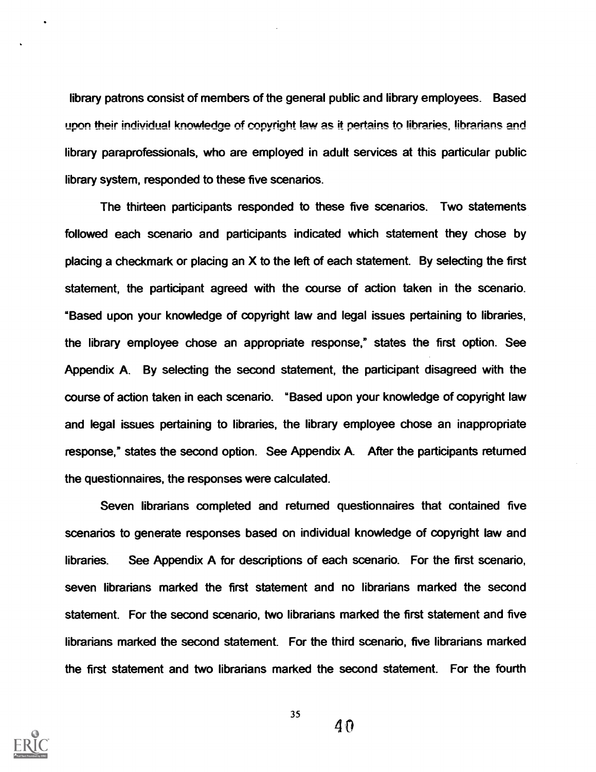library patrons consist of members of the general public and library employees. Based upon their individual knowledge of copyright law as it pertains to libraries, librarians and library paraprofessionals, who are employed in adult services at this particular public library system, responded to these five scenarios.

The thirteen participants responded to these five scenarios. Two statements followed each scenario and participants indicated which statement they chose by placing a checkmark or placing an X to the left of each statement. By selecting the first statement, the participant agreed with the course of action taken in the scenario. "Based upon your knowledge of copyright law and legal issues pertaining to libraries, the library employee chose an appropriate response," states the first option. See Appendix A. By selecting the second statement, the participant disagreed with the course of action taken in each scenario. "Based upon your knowledge of copyright law and legal issues pertaining to libraries, the library employee chose an inappropriate response," states the second option. See Appendix A. After the participants returned the questionnaires, the responses were calculated.

Seven librarians completed and returned questionnaires that contained five scenarios to generate responses based on individual knowledge of copyright law and libraries. See Appendix A for descriptions of each scenario. For the first scenario, seven librarians marked the first statement and no librarians marked the second statement. For the second scenario, two librarians marked the first statement and five librarians marked the second statement. For the third scenario, five librarians marked the first statement and two librarians marked the second statement. For the fourth

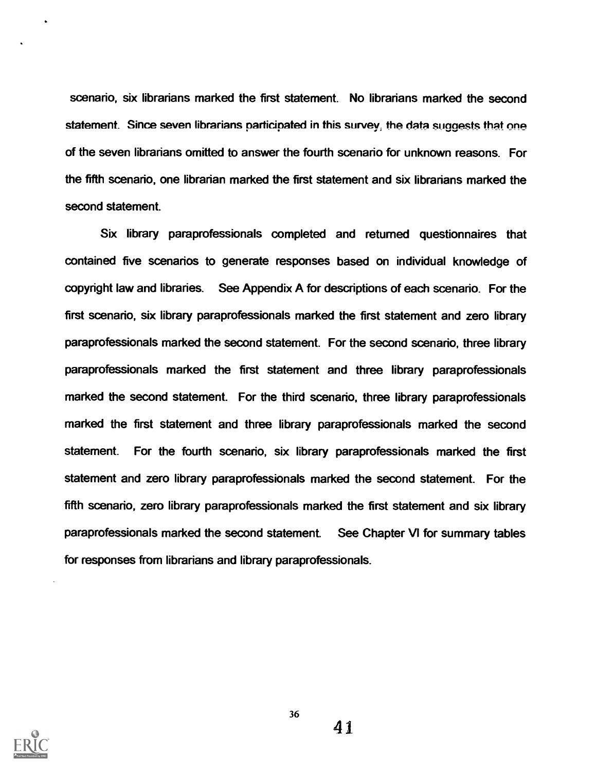scenario, six librarians marked the first statement. No librarians marked the second statement. Since seven librarians participated in this survey, the data suggests that one of the seven librarians omitted to answer the fourth scenario for unknown reasons. For the fifth scenario, one librarian marked the first statement and six librarians marked the second statement.

Six library paraprofessionals completed and returned questionnaires that contained five scenarios to generate responses based on individual knowledge of copyright law and libraries. See Appendix A for descriptions of each scenario. For the first scenario, six library paraprofessionals marked the first statement and zero library paraprofessionals marked the second statement. For the second scenario, three library paraprofessionals marked the first statement and three library paraprofessionals marked the second statement. For the third scenario, three library paraprofessionals marked the first statement and three library paraprofessionals marked the second statement. For the fourth scenario, six library paraprofessionals marked the first statement and zero library paraprofessionals marked the second statement. For the fifth scenario, zero library paraprofessionals marked the first statement and six library paraprofessionals marked the second statement. See Chapter VI for summary tables for responses from librarians and library paraprofessionals.



36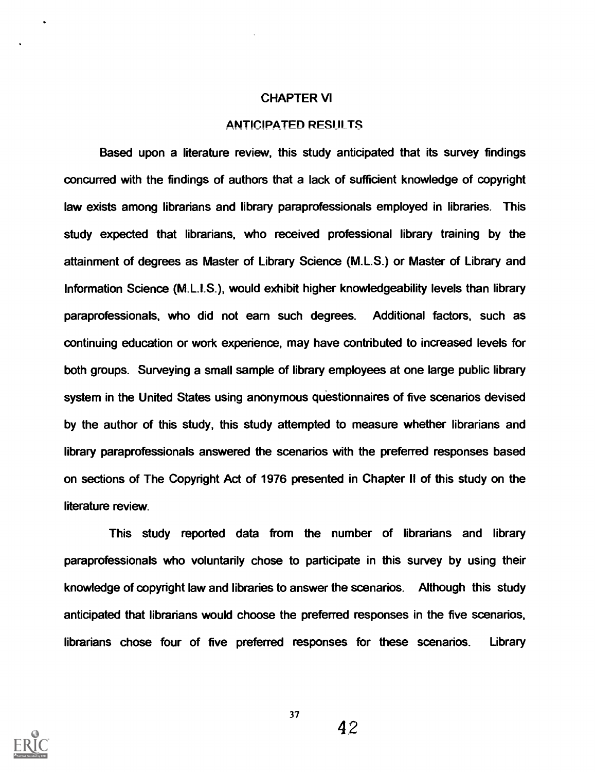#### CHAPTER VI

#### **ANTICIPATED RESULTS**

Based upon a literature review, this study anticipated that its survey findings concurred with the findings of authors that a lack of sufficient knowledge of copyright law exists among librarians and library paraprofessionals employed in libraries. This study expected that librarians, who received professional library training by the attainment of degrees as Master of Library Science (M.L.S.) or Master of Library and Information Science (M.L.I.S.), would exhibit higher knowledgeability levels than library paraprofessionals, who did not earn such degrees. Additional factors, such as continuing education or work experience, may have contributed to increased levels for both groups. Surveying a small sample of library employees at one large public library system in the United States using anonymous questionnaires of five scenarios devised by the author of this study, this study attempted to measure whether librarians and library paraprofessionals answered the scenarios with the preferred responses based on sections of The Copyright Act of 1976 presented in Chapter ll of this study on the literature review.

This study reported data from the number of librarians and library paraprofessionals who voluntarily chose to participate in this survey by using their knowledge of copyright law and libraries to answer the scenarios. Although this study anticipated that librarians would choose the preferred responses in the five scenarios, librarians chose four of five preferred responses for these scenarios. Library



37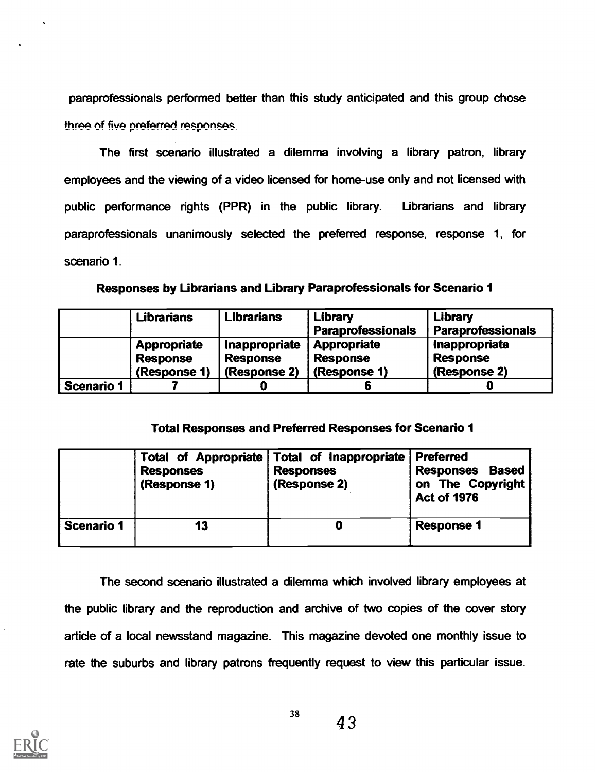paraprofessionals performed better than this study anticipated and this group chose three of five preferred responses.

The first scenario illustrated a dilemma involving a library patron, library employees and the viewing of a video licensed for home-use only and not licensed with public performance rights (PPR) in the public library. Librarians and library paraprofessionals unanimously selected the preferred response, response 1, for scenario 1.

| Responses by Librarians and Library Paraprofessionals for Scenario 1 |  |
|----------------------------------------------------------------------|--|
|----------------------------------------------------------------------|--|

|                   | <b>Librarians</b>  | <b>Librarians</b> | Library                  | Library                  |
|-------------------|--------------------|-------------------|--------------------------|--------------------------|
|                   |                    |                   | <b>Paraprofessionals</b> | <b>Paraprofessionals</b> |
|                   | <b>Appropriate</b> | Inappropriate     | <b>Appropriate</b>       | Inappropriate            |
|                   | <b>Response</b>    | <b>Response</b>   | <b>Response</b>          | <b>Response</b>          |
|                   | (Response 1)       | (Response 2)      | (Response 1)             | (Response 2)             |
| <b>Scenario 1</b> |                    |                   |                          |                          |

## Total Responses and Preferred Responses for Scenario 1

|                   | <b>Responses</b><br>(Response 1) | Total of Appropriate   Total of Inappropriate   Preferred<br><b>Responses</b><br>(Response 2) | <b>Responses</b><br><b>Based</b><br>on The Copyright<br><b>Act of 1976</b> |
|-------------------|----------------------------------|-----------------------------------------------------------------------------------------------|----------------------------------------------------------------------------|
| <b>Scenario 1</b> | 13                               |                                                                                               | <b>Response 1</b>                                                          |

The second scenario illustrated a dilemma which involved library employees at the public library and the mproduction and archive of two copies of the cover story article of a local newsstand magazine. This magazine devoted one monthly issue to rate the suburbs and library patrons frequently request to view this particular issue.

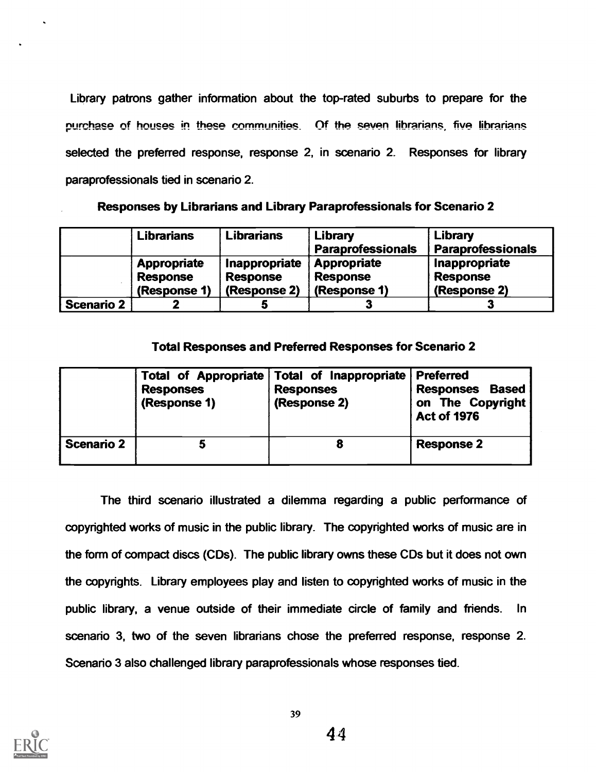Library patrons gather information about the top-rated suburbs to prepare for the purchase of houses in these communities. Of the seven librarians, five librarians selected the preferred response, response 2, in scenario 2. Responses for library paraprofessionals tied in scenario 2.

Responses by Librarians and Library Paraprofessionals for Scenario 2

|                   | <b>Librarians</b>              | <b>Librarians</b>                | Library<br><b>Paraprofessionals</b> | Library<br><b>Paraprofessionals</b> |
|-------------------|--------------------------------|----------------------------------|-------------------------------------|-------------------------------------|
|                   | Appropriate<br><b>Response</b> | Inappropriate<br><b>Response</b> | Appropriate<br><b>Response</b>      | Inappropriate<br><b>Response</b>    |
|                   | (Response 1)                   | (Response 2)                     | (Response 1)                        | (Response 2)                        |
| <b>Scenario 2</b> |                                |                                  |                                     |                                     |

## Total Responses and Preferred Responses for Scenario 2

|                   | <b>Responses</b><br>(Response 1) | Total of Appropriate   Total of Inappropriate   Preferred<br><b>Responses</b><br>(Response 2) | <b>Responses Based</b><br>on The Copyright<br><b>Act of 1976</b> |
|-------------------|----------------------------------|-----------------------------------------------------------------------------------------------|------------------------------------------------------------------|
| <b>Scenario 2</b> |                                  |                                                                                               | <b>Response 2</b>                                                |

The third scenario illustrated a dilemma regarding a public performance of copyrighted works of music in the public library. The copyrighted works of music are in the form of compact discs (CDs). The public library owns these CDs but it does not own the copyrights. Library employees play and listen to copyrighted works of music in the public library, a venue outside of their immediate circle of family and friends. In scenario 3, two of the seven librarians chose the preferred response, response 2. Scenario 3 also challenged library paraprofessionals whose responses tied.

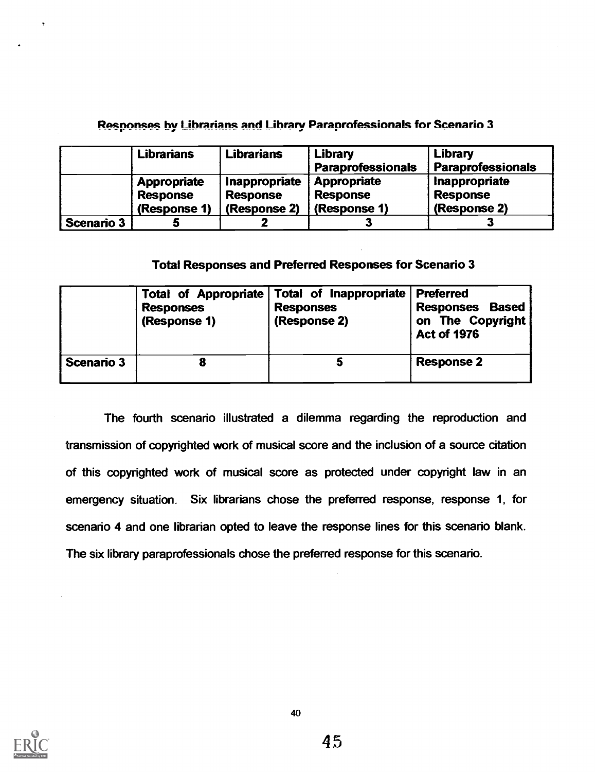## Responses by Librarians and Library Paraprofessionals for Scenario 3

|                   | <b>Librarians</b>                                     | <b>Librarians</b>                                | Library<br><b>Paraprofessionals</b>            | Library<br><b>Paraprofessionals</b>              |
|-------------------|-------------------------------------------------------|--------------------------------------------------|------------------------------------------------|--------------------------------------------------|
|                   | <b>Appropriate</b><br><b>Response</b><br>(Response 1) | Inappropriate<br><b>Response</b><br>(Response 2) | Appropriate<br><b>Response</b><br>(Response 1) | Inappropriate<br><b>Response</b><br>(Response 2) |
| <b>Scenario 3</b> |                                                       |                                                  |                                                |                                                  |

## Total Responses and Preferred Responses for Scenario 3

|                   | <b>Responses</b><br>(Response 1) | Total of Appropriate Total of Inappropriate<br><b>Responses</b><br>(Response 2) | <b>Preferred</b><br><b>Responses Based</b><br>on The Copyright<br><b>Act of 1976</b> |  |
|-------------------|----------------------------------|---------------------------------------------------------------------------------|--------------------------------------------------------------------------------------|--|
| <b>Scenario 3</b> |                                  |                                                                                 | <b>Response 2</b>                                                                    |  |

The fourth scenario illustrated a dilemma regarding the reproduction and transmission of copyrighted work of musical score and the inclusion of a source citation of this copyrighted work of musical score as protected under copyright law in an emergency situation. Six librarians chose the preferred response, response 1, for scenario 4 and one librarian opted to leave the response lines for this scenario blank. The six library paraprofessionals chose the preferred response for this scenario.

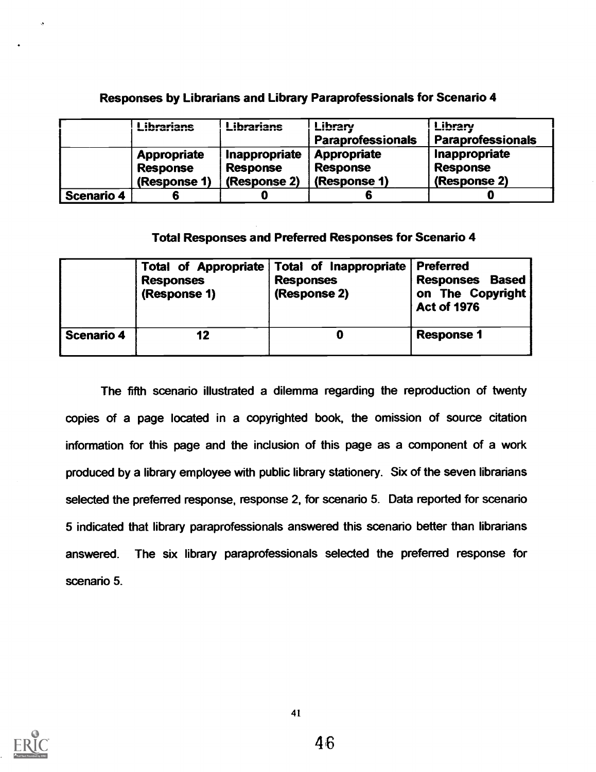## Responses by Librarians and Library Paraprofessionals for Scenario 4

|            | ihrariane<br>Liviulium                         | Librarians                                       | Library<br><b>Paraprofessionals</b>                   | ihrarv<br><b>Paraprofessionals</b>               |
|------------|------------------------------------------------|--------------------------------------------------|-------------------------------------------------------|--------------------------------------------------|
|            | Appropriate<br><b>Response</b><br>(Response 1) | Inappropriate<br><b>Response</b><br>(Response 2) | <b>Appropriate</b><br><b>Response</b><br>(Response 1) | Inappropriate<br><b>Response</b><br>(Response 2) |
| Scenario 4 |                                                |                                                  |                                                       |                                                  |

## Total Responses and Preferred Responses for Scenario 4

|                   | <b>Responses</b><br>(Response 1) | Total of Appropriate Total of Inappropriate<br><b>Responses</b><br>(Response 2) | <b>Preferred</b><br>Responses Based<br>on The Copyright<br><b>Act of 1976</b> |  |
|-------------------|----------------------------------|---------------------------------------------------------------------------------|-------------------------------------------------------------------------------|--|
| <b>Scenario 4</b> | 12                               |                                                                                 | <b>Response 1</b>                                                             |  |

The fifth scenario illustrated a dilemma regarding the reproduction of twenty copies of a page located in a copyrighted book, the omission of source citation information for this page and the inclusion of this page as a component of a work produced by a library employee with public library stationery. Six of the seven librarians selected the preferred response, response 2, for scenario 5. Data reported for scenario 5 indicated that library paraprofessionals answered this scenario better than librarians answered. The six library paraprofessionals selected the preferred response for scenario 5.

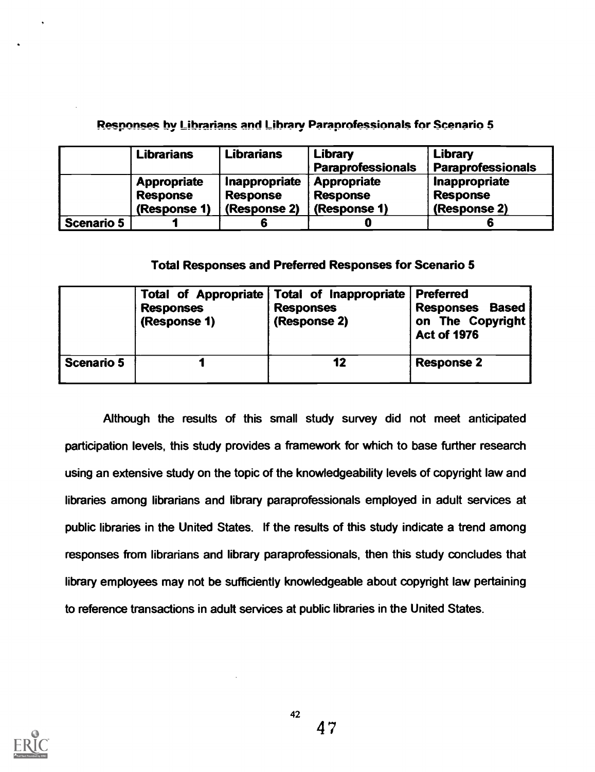## Responses by Librarians and Library Paraprofessionals for Scenario 5

|                   | <b>Librarians</b>                                     | <b>Librarians</b>                                | Library<br><b>Paraprofessionals</b>                   | Library<br><b>Paraprofessionals</b>              |
|-------------------|-------------------------------------------------------|--------------------------------------------------|-------------------------------------------------------|--------------------------------------------------|
|                   | <b>Appropriate</b><br><b>Response</b><br>(Response 1) | Inappropriate<br><b>Response</b><br>(Response 2) | <b>Appropriate</b><br><b>Response</b><br>(Response 1) | Inappropriate<br><b>Response</b><br>(Response 2) |
| <b>Scenario 5</b> |                                                       |                                                  |                                                       |                                                  |

## Total Responses and Preferred Responses for Scenario 5

|                   | <b>Responses</b><br>(Response 1) | Total of Appropriate Total of Inappropriate Preferred<br><b>Responses</b><br>(Response 2) | <b>Based</b><br><b>Responses</b><br>on The Copyright<br><b>Act of 1976</b> |
|-------------------|----------------------------------|-------------------------------------------------------------------------------------------|----------------------------------------------------------------------------|
| <b>Scenario 5</b> |                                  | 12                                                                                        | <b>Response 2</b>                                                          |

Although the results of this small study survey did not meet anticipated participation levels, this study provides a framework for which to base further research using an extensive study on the topic of the knowledgeability levels of copyright law and libraries among librarians and library paraprofessionals employed in adult services at public libraries in the United States. If the results of this study indicate a trend among responses from librarians and library paraprofessionals, then this study concludes that library employees may not be sufficiently knowledgeable about copyright law pertaining to reference transactions in adult services at public libraries in the United States.

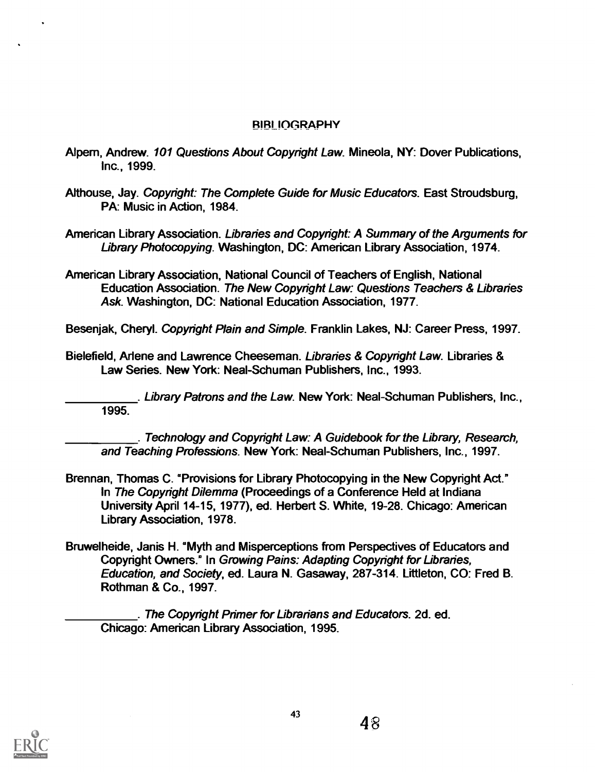## RIRI IOGRAPHY

- Alpem, Andrew. 101 Questions About Copyright Law. Mineola, NY: Dover Publications, Inc., 1999.
- Althouse, Jay. Copyright: The Complete Guide for Music Educators. East Stroudsburg, PA: Music in Action, 1984.
- American Library Association. Libraries and Copyright: A Summary of the Arguments for Library Photocopying. Washington, DC: American Library Association, 1974.
- American Library Association, National Council of Teachers of English, National Education Association. The New Copyright Law: Questions Teachers & Libraries Ask. Washington, DC: National Education Association, 1977.

Besenjak, Cheryl. Copyright Plain and Simple. Franklin Lakes, NJ: Career Press, 1997.

Bielefield, Arlene and Lawrence Cheeseman. Libraries & Copyright Law. Libraries & Law Series. New York: Neal-Schuman Publishers, Inc., 1993.

. Library Patrons and the Law. New York: Neal-Schuman Publishers, Inc., 1995.

. Technology and Copyright Law: A Guidebook for the Library, Research, and Teaching Professions. New York: Neal-Schuman Publishers, Inc., 1997.

- Brennan, Thomas C. 'Provisions for Library Photocopying in the New Copyright Act." In The Copyright Dilemma (Proceedings of a Conference Held at Indiana University April 14-15, 1977), ed. Herbert S. White, 19-28. Chicago: American Library Association, 1978.
- Bruwelheide, Janis H. °Myth and Misperceptions from Perspectives of Educators and Copyright Owners." In Growing Pains: Adapting Copyright for libraries, Education, and Society, ed. Laura N. Gasaway, 287-314. Littleton, CO: Fred B. Rothman & Co., 1997.

. The Copyright Primer for Librarians and Educators. 2d. ed. Chicago: American Library Association, 1995.

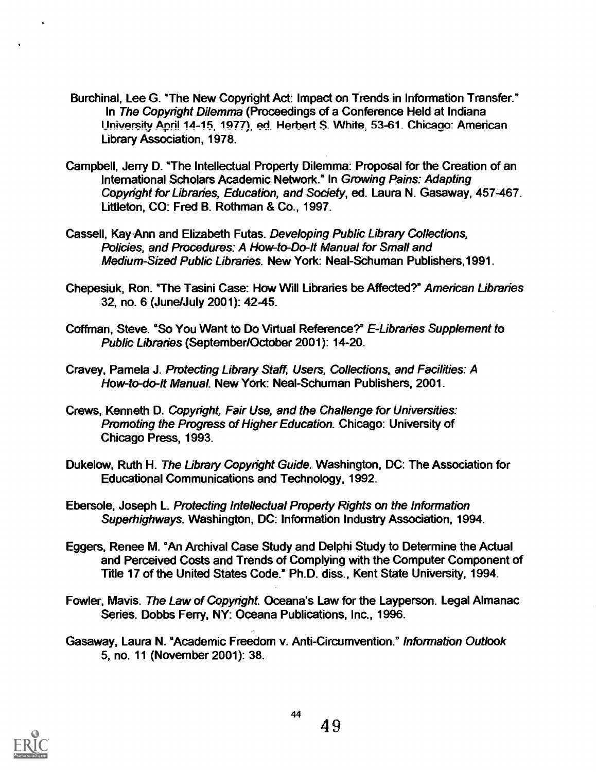- Burchinal, Lee G. °The New Copyright Act: Impact on Trends in Information Transfer." In The Copyright Dilemma (Proceedings of a Conference Held at Indiana University April 14-15, 1977). ed. Herbert S. White, 53-61. Chicago: American Library Association, 1978.
- Campbell, Jerry D. °The Intellectual Property Dilemma: Proposal for the Creation of an International Scholars Academic Network." In Growing Pains: Adapting Copyright for Libraries, Education, and Society, ed. Laura N. Gasaway, 457-467. Littleton, CO: Fred B. Rothman & Co., 1997.
- Cassell, Kay Ann and Elizabeth Futas. Developing Public Library Collections, Policies, and Procedures: A How-to-Do-lt Manual for Small and Medium-Sized Public Libraries. New York: Neal-Schuman Publishers,1991.
- Chepesiuk, Ron. °The Tasini Case: How Will Libraries be Affected?" American Libraries 32, no. 6 (June/July 2001): 42-45.
- Coffman, Steve. "So You Want to Do Virtual Reference?" E-Libraries Supplement to Public Libraries (September/October 2001): 14-20.
- Cravey, Pamela J. Protecting Library Staff, Users, Collections, and Facilities: A How-to-do-lt Manual. New York: Neal-Schuman Publishers, 2001.
- Crews, Kenneth D. Copyright, Fair Use, and the Challenge for Universities: Promoting the Progress of Higher Education. Chicago: University of Chicago Press, 1993.
- Dukelow, Ruth H. The Library Copyright Guide. Washington, DC: The Association for Educational Communications and Technology, 1992.
- Ebersole, Joseph L. Protecting Intellectual Property Rights on the Information Superhighways. Washington, DC: Information Industry Association, 1994.
- Eggers, Renee M. °An Archival Case Study and Delphi Study to Determine the Actual and Perceived Costs and Trends of Complying with the Computer Component of Title 17 of the United States Code." Ph.D. diss., Kent State University, 1994.
- Fowler, Mavis. The Law of Copyright. Oceana's Law for the Layperson. Legal Almanac Series. Dobbs Ferry, NY: Oceana Publications, Inc., 1996.
- Gasaway, Laura N. °Academic Freedom v. Anti-Circumvention." Information Outlook 5, no. 11 (November 2001): 38.

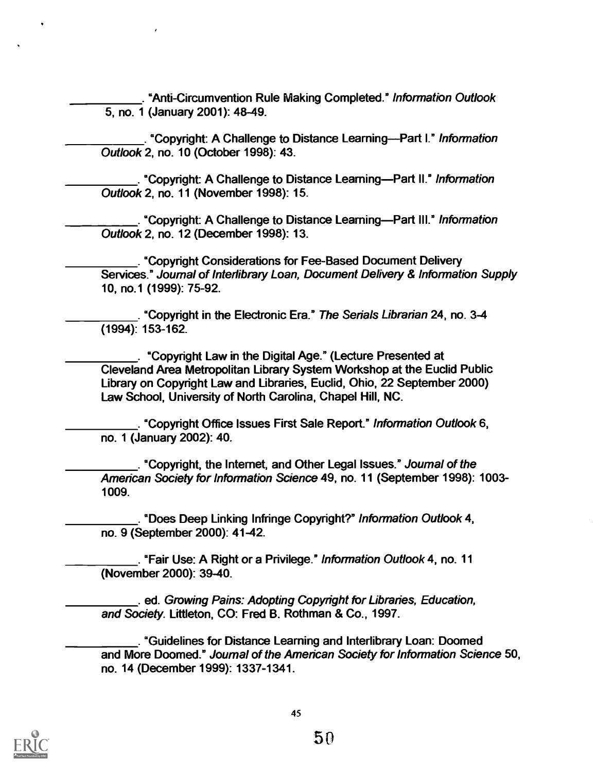. "Anti-Circumvention Rule Making Completed." Information Outlook 5, no. 1 (January 2001): 48-49.

. "Copyright: A Challenge to Distance Learning--Part I." Information Outlook 2, no. 10 (October 1998): 43.

. °Copyright: A Challenge to Distance LearningPart II." Information Outlook 2, no. 11 (November 1998): 15.

. "Copyright: A Challenge to Distance Learning—Part III." Information Outlook 2, no. 12 (December 1998): 13.

. °Copyright Considerations for Fee-Based Document Delivery Services." Journal of Interlibrary Loan, Document Delivery & Information Supply 10, no.1 (1999): 75-92.

. "Copyright in the Electronic Era." The Serials Librarian 24, no. 3-4 (1994): 153-162.

. °Copyright Law in the Digital Age." (Lecture Presented at Cleveland Area Metropolitan Library System Workshop at the Euclid Public Library on Copyright Law and Libraries, Euclid, Ohio, 22 September 2000) Law School, University of North Carolina, Chapel Hill, NC.

. "Copyright Office Issues First Sale Report." Information Outlook 6, no. 1 (January 2002): 40.

. "Copyright, the Internet, and Other Legal Issues." Journal of the American Society for Information Science 49, no. 11 (September 1998): 1003- 1009.

. °Does Deep Linking Infringe Copyright?" Information Outlook 4, no. 9 (September 2000): 41-42.

. °Fair Use: A Right or a Privilege." Information Outlook 4, no. 11 (November 2000): 39-40.

. ed. Growing Pains: Adopting Copyright for Libraries, Education, and Society. Littleton, CO: Fred B. Rothman & Co., 1997.

. °Guidelines for Distance Learning and Interlibrary Loan: Doomed and More Doomed." Journal of the American Society for Information Science 50, no. 14 (December 1999): 1337-1341.

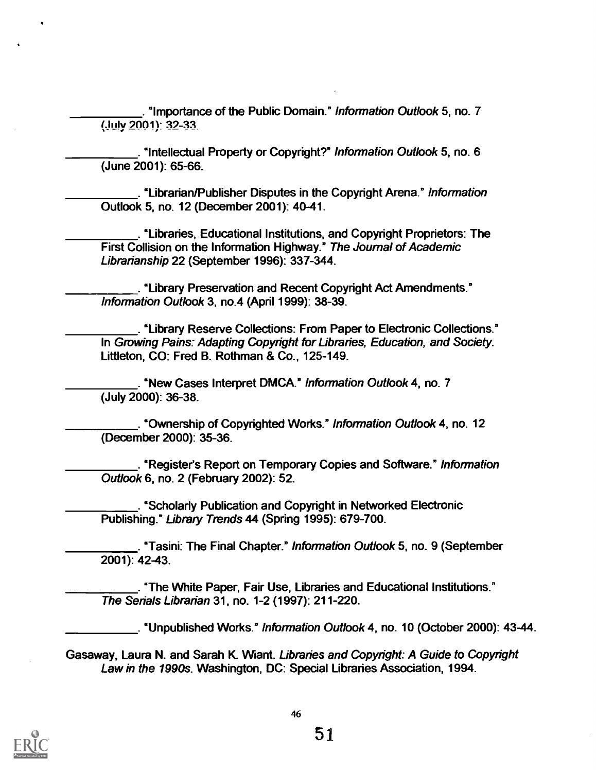. °Importance of the Public Domain." Information Outlook 5, no. 7 (July 2001): 32-33.

. °Intellectual Property or Copyright?" Information Outlook 5, no. 6 (June 2001): 65-66.

. °Librarian/Publisher Disputes in the Copyright Arena." Information Outlook 5, no. 12 (December 2001): 40-41.

. 'Libraries, Educational Institutions, and Copyright Proprietors: The First Collision on the Information Highway." The Journal of Academic Librarianship 22 (September 1996): 337-344.

. °Library Preservation and Recent Copyright Act Amendments." Information Outlook 3, no.4 (April 1999): 38-39.

. "Library Reserve Collections: From Paper to Electronic Collections." In Growing Pains: Adapting Copyright for Libraries, Education, and Society. Littleton, CO: Fred B. Rothman & Co., 125-149.

. °New Cases Interpret DMCA." Information Outlook 4, no. 7 (July 2000): 36-38.

. °Ownership of Copyrighted Works." Information Outlook 4, no. 12 (December 2000): 35-36.

. °Register's Report on Temporary Copies and Software." Information Outlook 6, no. 2 (February 2002): 52.

. 'Scholarly Publication and Copyright in Networked Electronic Publishing." Library Trends 44 (Spring 1995): 679-700.

. "Tasini: The Final Chapter." Information Outlook 5, no. 9 (September 2001): 42-43.

. "The White Paper, Fair Use, Libraries and Educational Institutions." The Serials Librarian 31, no. 1-2 (1997): 211-220.

. °Unpublished Works." Information Outlook 4, no. 10 (October 2000): 43-44.

Gasaway, Laura N. and Sarah K. Want. Libraries and Copyright: A Guide to Copyright Law in the 1990s. Washington, DC: Special Libraries Association, 1994.

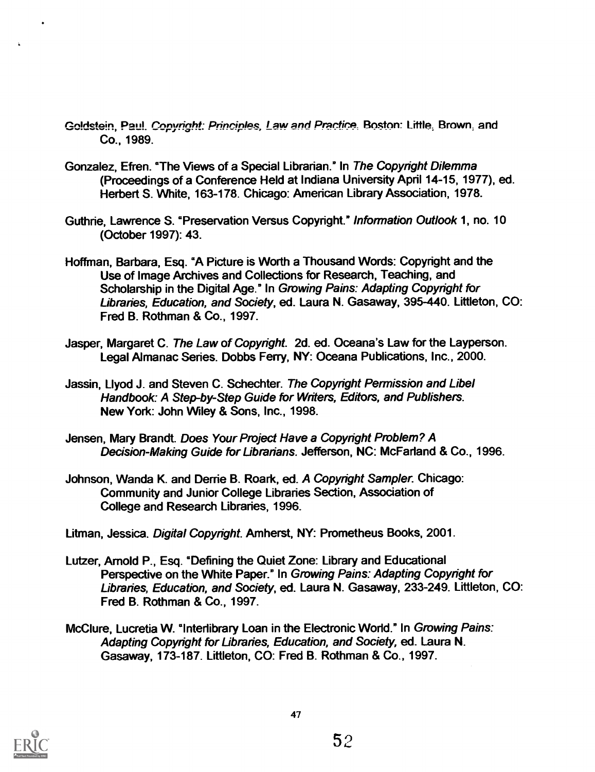- Goldstein, Paul. Copyright: Principles, Law and Practice, Boston: Little, Brown, and Co., 1989.
- Gonzalez, Efren. "The Views of a Special Librarian." In The Copyright Dilemma (Proceedings of a Conference Held at Indiana University April 14-15, 1977), ed. Herbert S. White, 163-178. Chicago: American Library Association, 1978.
- Guthrie, Lawrence S. °Preservation Versus Copyright." Information Outlook 1, no. 10 (October 1997): 43.
- Hoffman, Barbara, Esq. °A Picture is Worth a Thousand Words: Copyright and the Use of Image Archives and Collections for Research, Teaching, and Scholarship in the Digital Age." In Growing Pains: Adapting Copyright for Libraries, Education, and Society, ed. Laura N. Gasaway, 395-440. Littleton, CO: Fred B. Rothman & Co., 1997.
- Jasper, Margaret C. The Law of Copyright. 2d. ed. Oceana's Law for the Layperson. Legal Almanac Series. Dobbs Ferry, NY: Oceana Publications, Inc., 2000.
- Jassin, Llyod J. and Steven C. Schechter. The Copyright Permission and Libel Handbook: A Step-by-Step Guide for Writers, Editors, and Publishers. New York: John Wiley & Sons, Inc., 1998.
- Jensen, Mary Brandt. Does Your Project Have a Copyright Problem? A Decision-Making Guide for Librarians. Jefferson, NC: McFarland & Co., 1996.
- Johnson, Wanda K. and Derrie B. Roark, ed. A Copyright Sampler. Chicago: Community and Junior College Libraries Section, Association of College and Research Libraries, 1996.
- Litman, Jessica. Digital Copyright. Amherst, NY: Prometheus Books, 2001.
- Lutzer, Arnold P., Esq. °Defining the Quiet Zone: Library and Educational Perspective on the White Paper." In Growing Pains: Adapting Copyright for Libraries, Education, and Society, ed. Laura N. Gasaway, 233-249. Littleton, CO: Fred B. Rothman & Co., 1997.
- McClure, Lucretia W. "Interlibrary Loan in the Electronic World." In Growing Pains: Adapting Copyright for Libraries, Education, and Society, ed. Laura N. Gasaway, 173-187. Littleton, CO: Fred B. Rothman & Co., 1997.

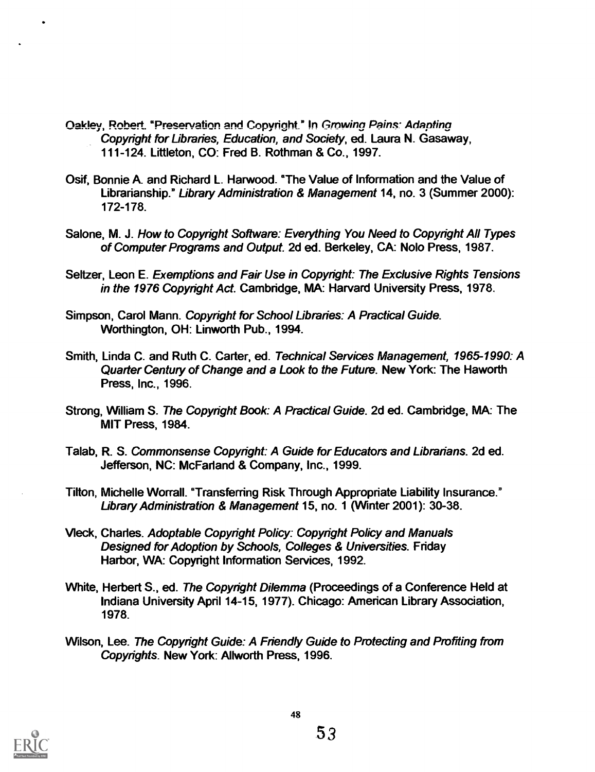- Oakley, Robert. "Preservation and Copyright." In Growing Pains: Adapting Copyright for Libraries, Education, and Society, ed. Laura N. Gasaway, 111-124. Littleton, CO: Fred B. Rothman & Co., 1997.
- Osif, Bonnie A. and Richard L. Harwood. °The Value of Information and the Value of Librarianship." Library Administration & Management 14, no. 3 (Summer 2000): 172-178.
- Salone, M. J. How to Copyright Software: Everything You Need to Copyright All Types of Computer Programs and Output. 2d ed. Berkeley, CA: Nob Press, 1987.
- Seltzer, Leon E. Exemptions and Fair Use in Copyright: The Exclusive Rights Tensions in the 1976 Copyright Act. Cambridge, MA: Harvard University Press, 1978.
- Simpson, Carol Mann. Copyright for School Libraries: A Practical Guide. Worthington, OH: Linworth Pub., 1994.
- Smith, Linda C. and Ruth C. Carter, ed. Technical Services Management, 1965-1990: A Quarter Century of Change and a Look to the Future. New York: The Haworth Press, Inc., 1996.
- Strong, William S. The Copyright Book: A Practical Guide. 2d ed. Cambridge, MA: The MIT Press, 1984.
- Talab, R. S. Commonsense Copyright: A Guide for Educators and Librarians. 2d ed. Jefferson, NC: McFarland & Company, Inc., 1999.
- Tilton, Michelle Worrall. "Transferring Risk Through Appropriate Liability Insurance." Library Administration & Management 15, no. 1 (Winter 2001): 30-38.
- Vleck, Charles. Adoptable Copyright Policy: Copyright Policy and Manuals Designed for Adoption by Schools, Colleges & Universities. Friday Harbor, WA: Copyright Information Services, 1992.
- White, Herbert S., ed. The Copyright Dilemma (Proceedings of a Conference Held at Indiana University April 14-15, 1977). Chicago: American Library Association, 1978.
- Wilson, Lee. The Copyright Guide: A Friendly Guide to Protecting and Profiting from Copyrights. New York: Allworth Press, 1996.

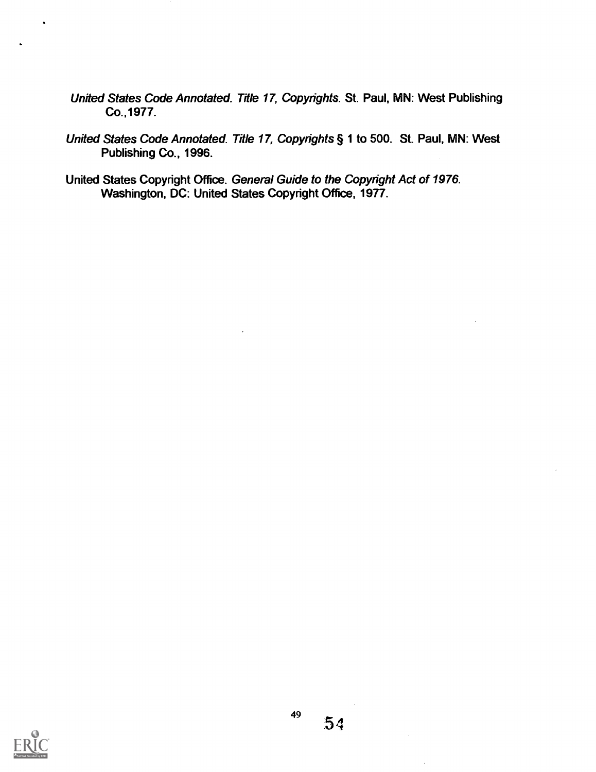- United States Code Annotated. Title 17, Copyrights. St. Paul, MN: West Publishing Co.,1977.
- United States Code Annotated. Title 17, Copyrights § 1 to 500. St. Paul, MN: West Publishing Co., 1996.
- United States Copyright Office. General Guide to the Copyright Act of 1976. Washington, DC: United States Copyright Office, 1977.

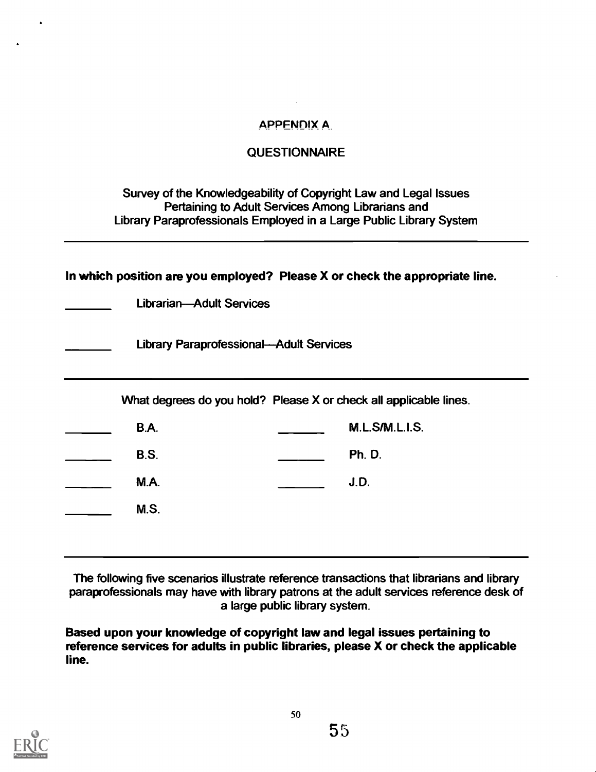## **APPENDIX A**

## **QUESTIONNAIRE**

Survey of the Knowledgeability of Copyright Law and Legal Issues Pertaining to Adult Services Among Librarians and Library Paraprofessionals Employed in a Large Public Library System

| In which position are you employed? Please X or check the appropriate line. |                                                |  |                       |  |  |  |  |  |
|-----------------------------------------------------------------------------|------------------------------------------------|--|-----------------------|--|--|--|--|--|
|                                                                             | <b>Librarian-Adult Services</b>                |  |                       |  |  |  |  |  |
|                                                                             | <b>Library Paraprofessional-Adult Services</b> |  |                       |  |  |  |  |  |
| What degrees do you hold? Please X or check all applicable lines.           |                                                |  |                       |  |  |  |  |  |
|                                                                             | <b>B.A.</b>                                    |  | <b>M.L.S/M.L.I.S.</b> |  |  |  |  |  |
|                                                                             | <b>B.S.</b>                                    |  | <b>Ph. D.</b>         |  |  |  |  |  |
|                                                                             | <b>M.A.</b>                                    |  | J.D.                  |  |  |  |  |  |
|                                                                             | M.S.                                           |  |                       |  |  |  |  |  |
|                                                                             |                                                |  |                       |  |  |  |  |  |

The following five scenarios illustrate reference transactions that librarians and library paraprofessionals may have with library patrons at the adult services reference desk of a large public library system.

Based upon your knowledge of copyright law and legal issues pertaining to reference services for adults in public libraries, please X or check the applicable line.

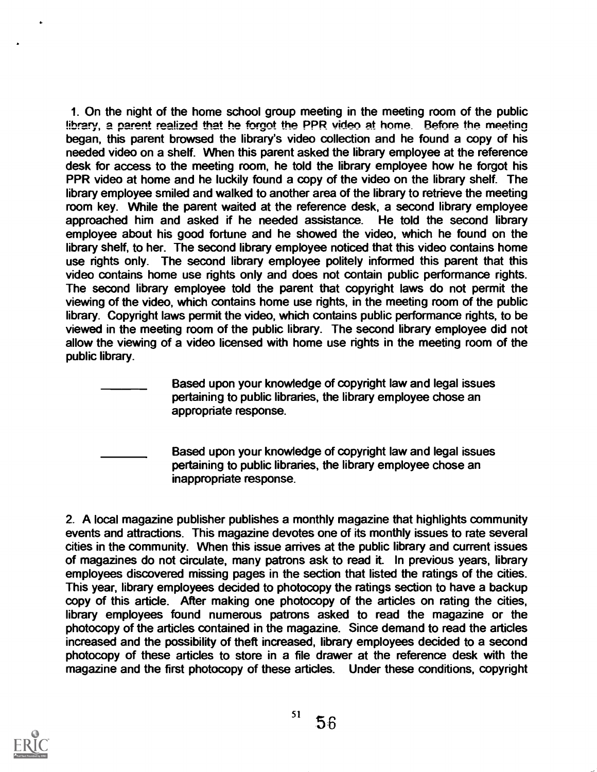1. On the night of the home school group meeting in the meeting room of the public  $l$ ibrary, a parent realized that he forgot the PPR video at home. Before the meeting began, this parent browsed the library's video collection and he found a copy of his needed video on a shelf. When this parent asked the library employee at the reference desk for access to the meeting room, he told the library employee how he forgot his PPR video at home and he luckily found a copy of the video on the library shelf. The library employee smiled and walked to another area of the library to retrieve the meeting room key. While the parent waited at the reference desk, a second library employee approached him and asked if he needed assistance. He told the second library employee about his good fortune and he showed the video, which he found on the library shelf, to her. The second library employee noticed that this video contains home use rights only. The second library employee politely informed this parent that this video contains home use rights only and does not contain public performance rights. The second library employee told the parent that copyright laws do not permit the viewing of the video, which contains home use rights, in the meeting room of the public library. Copyright laws permit the video, which contains public performance rights, to be viewed in the meeting room of the public library. The second library employee did not allow the viewing of a video licensed with home use rights in the meeting room of the public library.

> Based upon your knowledge of copyright law and legal issues pertaining to public libraries, the library employee chose an appropriate response.

Based upon your knowledge of copyright law and legal issues pertaining to public libraries, the library employee chose an inappropriate response.

2. A local magazine publisher publishes a monthly magazine that highlights community events and attractions. This magazine devotes one of its monthly issues to rate several cities in the community. When this issue arrives at the public library and current issues of magazines do not circulate, many patrons ask to read it. In previous years, library employees discovered missing pages in the section that listed the ratings of the cities. This year, library employees decided to photocopy the ratings section to have a backup copy of this article. After making one photocopy of the articles on rating the cities, library employees found numerous patrons asked to read the magazine or the photocopy of the articles contained in the magazine. Since demand to read the articles increased and the possibility of theft increased, library employees decided to a second photocopy of these articles to store in a file drawer at the reference desk with the magazine and the first photocopy of these articles. Under these conditions, copyright

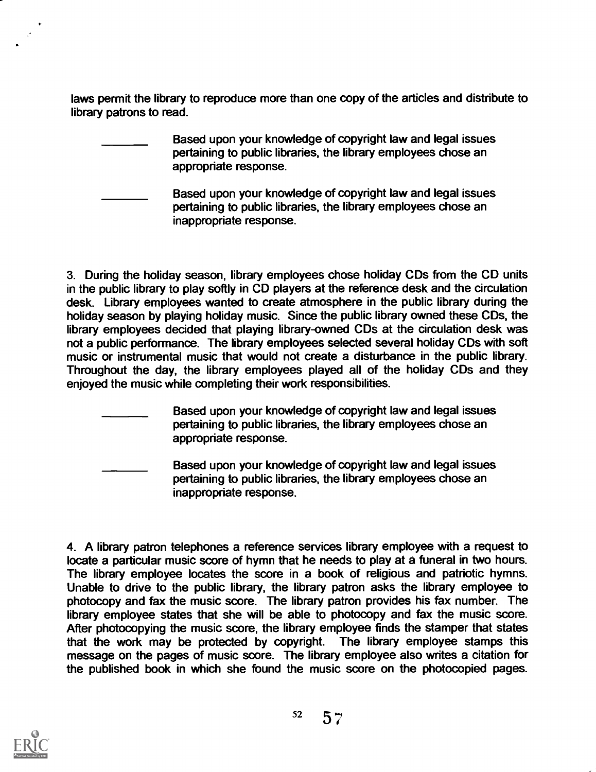laws permit the library to reproduce more than one copy of the articles and distribute to library patrons to read.

- Based upon your knowledge of copyright law and legal issues pertaining to public libraries, the library employees chose an appropriate response.
- Based upon your knowledge of copyright law and legal issues pertaining to public libraries, the library employees chose an inappropriate response.

3. During the holiday season, library employees chose holiday CDs from the CD units in the public library to play softly in CD players at the reference desk and the circulation desk. Library employees wanted to create atmosphere in the public library during the holiday season by playing holiday music. Since the public library owned these CDs, the library employees decided that playing library-owned CDs at the circulation desk was not a public performance. The library employees selected several holiday CDs with soft music or instrumental music that would not create a disturbance in the public library. Throughout the day, the library employees played all of the holiday CDs and they enjoyed the music while completing their work responsibilities.

- Based upon your knowledge of copyright law and legal issues pertaining to public libraries, the library employees chose an appropriate response.
	- Based upon your knowledge of copyright law and legal issues pertaining to public libraries, the library employees chose an inappropriate response.

4. A library patron telephones a reference services library employee with a request to locate a particular music score of hymn that he needs to play at a funeral in two hours. The library employee locates the score in a book of religious and patriotic hymns. Unable to drive to the public library, the library patron asks the library employee to photocopy and fax the music score. The library patron provides his fax number. The library employee states that she will be able to photocopy and fax the music score. After photocopying the music score, the library employee finds the stamper that states<br>that the work may be protected by copyright. The library employee stamps this that the work may be protected by copyright. message on the pages of music score. The library employee also writes a citation for the published book in which she found the music score on the photocopied pages.



 $52 \quad 57$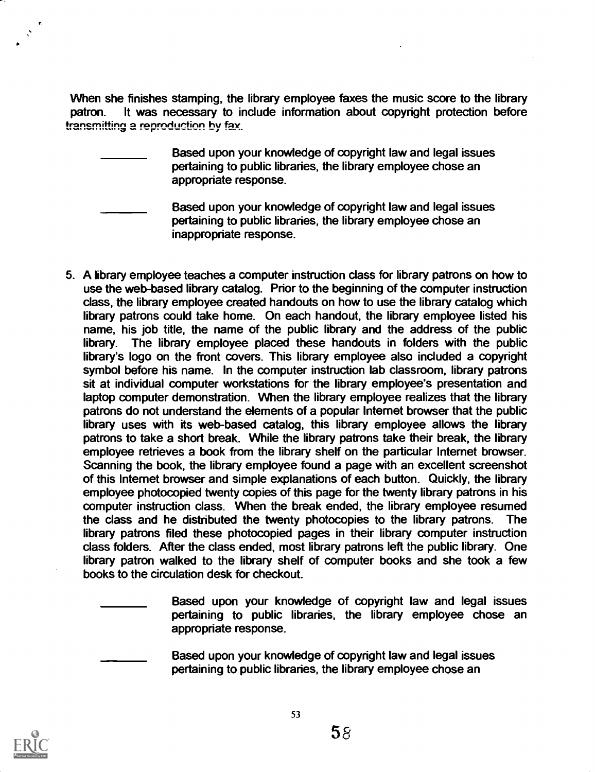When she finishes stamping, the library employee faxes the music score to the library patron. It was necessary to include information about copyright protection before transmitting a reproduction by fax.

> Based upon your knowledge of copyright law and legal issues pertaining to public libraries, the library employee chose an appropriate response.

Based upon your knowledge of copyright law and legal issues pertaining to public libraries, the library employee chose an inappropriate response.

5. A library employee teaches a computer instruction class for library patrons on how to use the web-based library catalog. Prior to the beginning of the computer instruction class, the library employee created handouts on how to use the library catalog which library patrons could take home. On each handout, the library employee listed his name, his job title, the name of the public library and the address of the public library. The library employee placed these handouts in folders with the public library's logo on the front covers. This library employee also included a copyright symbol before his name. In the computer instruction lab classroom, library patrons sit at individual computer workstations for the library employee's presentation and laptop computer demonstration. When the library employee realizes that the library patrons do not understand the elements of a popular Internet browser that the public library uses with its web-based catalog, this library employee allows the library patrons to take a short break. While the library patrons take their break, the library employee retrieves a book from the library shelf on the particular Internet browser. Scanning the book, the library employee found a page with an excellent screenshot of this Internet browser and simple explanations of each button. Quickly, the library employee photocopied twenty copies of this page for the twenty library patrons in his computer instruction class. When the break ended, the library employee resumed the class and he distributed the twenty photocopies to the library patrons. The library patrons filed these photocopied pages in their library computer instruction class folders. After the class ended, most library patrons left the public library. One library patron walked to the library shelf of computer books and she took a few books to the circulation desk for checkout.

> Based upon your knowledge of copyright law and legal issues pertaining to public libraries, the library employee chose an appropriate response.

Based upon your knowledge of copyright law and legal issues pertaining to public libraries, the library employee chose an

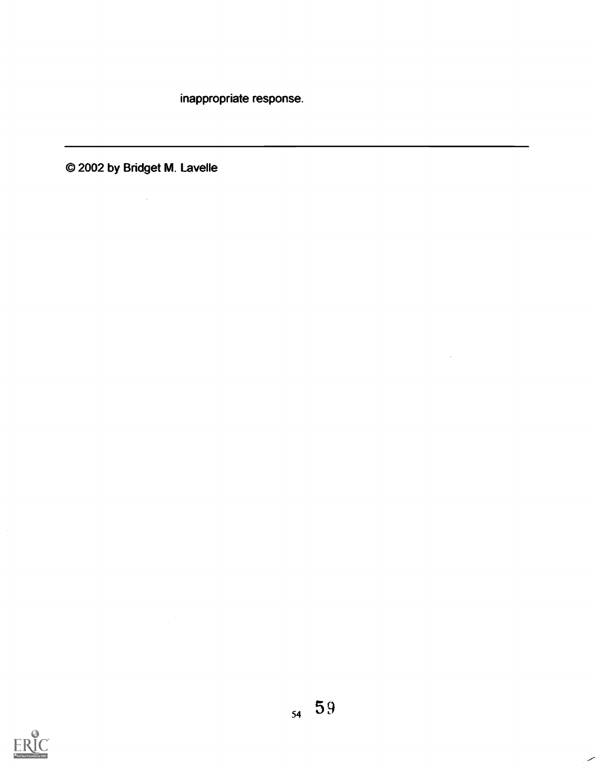inappropriate response.

© 2002 by Bridget M. Lavelle

 $\mathcal{L}_{\text{max}}$  and  $\mathcal{L}_{\text{max}}$ 



 $\sim$